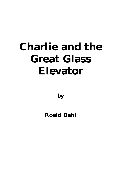# **Charlie and the Great Glass Elevator**

**by** 

**Roald Dahl**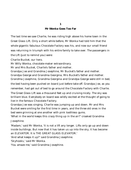**1 Mr Wonka Goes Too Far**

The last time we saw Charlie, he was riding high above his home town in the Great Glass Lift. Only a short while before, Mr Wonka had told him that the whole gigantic fabulous Chocolate Factory was his, and now our small friend was returning in triumph with his entire family to take over. The passengers in the Lift (just to remind you) were:

Charlie Bucket, our hero.

Mr Willy Wonka, chocolate-maker extraordinary.

Mr and Mrs Bucket, Charlie's father and mother.

Grandpa Joe and Grandma Josephine, Mr Bucket's father and mother.

Grandpa George and Grandma Georgina, Mrs Bucket's father and mother.

Grandma Josephine, Grandma Georgina and Grandpa George were still in bed,

the bed having been pushed on board just before take-off. Grandpa Joe, as you remember, had got out of bed to go around the Chocolate Factory with Charlie.

The Great Glass Lift was a thousand feet up and cruising nicely. The sky was brilliant blue. Everybody on board was wildly excited at the thought of going to live in the famous Chocolate Factory.

Grandpa Joe was singing. Charlie was jumping up and down. Mr and Mrs Bucket were smiling for the first time in years, and the three old ones in the bed were grinning at one another with pink toothless gums.

'What in the world keeps this crazy thing up in the air?' croaked Grandma Josephine.

'Madam,' said Mr Wonka, 'it is not a lift any longer. Lifts only go up and down inside buildings. But now that it has taken us up into the sky, it has become an ELEVATOR. It is THE GREAT GLASS ELEVATOR.'

'And what keeps it up?' said Grandma Josephine.

'Skyhooks,' said Mr Wonka.

'You amaze me,' said Grandma Josephine.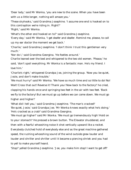'Dear lady,' said Mr Wonka, 'you are new to the scene. When you have been with us a little longer, nothing will amaze you.'

'These skyhooks,' said Grandma Josephine. 'I assume one end is hooked on to this contraption we're riding in. Right?'

'Right,' said Mr Wonka.

'What's the other end hooked on to?' said Grandma Josephine.

'Every day,' said Mr Wonka, 'I get deafer and deafer. Remind me, please, to call

up my ear doctor the moment we get back.'

'Charlie,' said Grandma Josephine. 'I don't think I trust this gentleman very much.'

'Nor do I,' said Grandma Georgina. 'He footles around.'

Charlie leaned over the bed and whispered to the two old women. 'Please,' he said, 'don't spoil everything. Mr Wonka is a fantastic man. He's my friend. I love him.'

'Charlie's right,' whispered Grandpa Joe, joining the group. 'Now you be quiet, Josie, and don't make trouble.'

'We must hurry!' said Mr Wonka. 'We have so much time and so little to do! No! Wait! Cross that out! Reverse it! Thank you! Now back to the factory!' he cried, clapping his hands once and springing two feet in the air with two feet. 'Back we fly to the factory! But we must go up before we can come down. We must go higher and higher!'

'What did I tell you,' said Grandma Josephine. 'The man's cracked!' 'Be quiet, Josie,' said Grandpa Joe. 'Mr Wonka knows exactly what he's doing.' 'He's cracked as a crab!' said Grandma Georgina.

'We must go higher!' said Mr Wonka. 'We must go tremendously high! Hold on to your stomach!' He pressed a brown button. The Elevator shuddered, and then with a fearful whooshing noise it shot vertically upward like a rocket.

Everybody clutched hold of everybody else and as the great machine gathered speed, the rushing whooshing sound of the wind outside grew louder and louder and shriller and shriller until it became a piercing shriek and you had to yell to make yourself heard.

'Stop!' yelled Grandma Josephine. 'Joe, you make him stop! I want to get off!'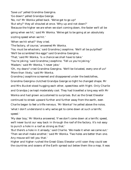'Save us!' yelled Grandma Georgina.

'Go down!' yelled Grandpa George.

'No, no!' Mr Wonka yelled back. 'We've got to go up!'

'But why?' they all shouted at once. 'Why up and not down?'

'Because the higher we are when we start coming down, the faster we'll all be

going when we hit,' said Mr Wonka. 'We've got to be going at an absolutely

sizzling speed when we hit.'

'When we hit what?' they cried.

'The factory, of course,' answered Mr Wonka.

'You must be whackers,' said Grandma Josephine. 'We'll all be pulpified!' 'We'll be scrambled like eggs!' said Grandma Georgina.

'That,' said Mr Wonka, 'is a chance we shall have to take.'

'You're joking,' said Grandma Josephine. 'Tell us you're joking.'

'Madam,' said Mr Wonka, 'I never joke.'

'Oh, my dears!' cried Grandma Georgina. 'We'll be lixivated, every one of us!' 'More than likely,' said Mr Wonka.

Grandma Josephine screamed and disappeared under the bedclothes,

Grandma Georgina clutched Grandpa George so tight he changed shape. Mr and Mrs Bucket stood hugging each other, speechless with fright. Only Charlie and Grandpa Joe kept moderately cool. They had travelled a long way with Mr Wonka and had grown accustomed to surprises. But as the Great Elevator continued to streak upward further and further away from the earth, even Charlie began to feel a trifle nervous. 'Mr Wonka!' he yelled above the noise, 'what I don't understand is why we've got to come down at such a terrific

speed.'

'My dear boy,' Mr Wonka answered, 'if we don't come down at a terrific speed, we'll never burst our way back in through the roof of the factory. It's not easy to punch a hole in a roof as strong as that.'

'But there's a hole in it already,' said Charlie. 'We made it when we came out.' 'Then we shall make another,' said Mr Wonka. 'Two holes are better than one. Any mouse will tell you that.'

Higher and higher rushed the Great Glass Elevator until soon they could see the countries and oceans of the Earth spread out below them like a map. It was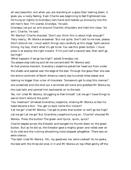all very beautiful, but when you are standing on a glass floor looking down, it gives you a nasty feeling. Even Charlie was beginning to feel frightened now. He hung on tightly to Grandpa Joe's hand and looked up anxiously into the old man's face. 'I'm scared, Grandpa,' he said.

Grandpa Joe put an arm around Charlie's shoulders and held him close. 'So am I, Charlie,' he said.

'Mr Wonka!' Charlie shouted. 'Don't you think this is about high enough?' 'Very nearly,' Mr Wonka answered. 'But not quite. Don't talk to me now, please. Don't disturb me. I must watch things very carefully at this stage. Split-second timing, my boy, that's what it's got to be. You see this green button. I must press it at exactly the right instant. If I'm just half a second late, then we'll go too high!'

'What happens if we go too high?' asked Grandpa Joe.

'Do please stop talking and let me concentrate!' Mr Wonka said.

At that precise moment, Grandma Josephine poked her head out from under the sheets and peered over the edge of the bed. Through the glass floor she saw the entire continent of North America nearly two hundred miles below and looking no bigger than a bar of chocolate. 'Someone's got to stop this maniac!' she screeched and she shot out a wrinkled old hand and grabbed Mr Wonka by the coat-tails and yanked him backwards on to the bed.

'No, no!' cried Mr Wonka, struggling to free himself. 'Let me go! I have things to see to! Don't disturb the pilot!'

'You madman!' shrieked Grandma Josephine, shaking Mr Wonka so fast his head became a blur. 'You get us back home this instant!'

'Let me go!' cried Mr Wonka, 'I've got to press that button or we'll go too high! Let me go! Let me go!' But Grandma Josephine hung on. 'Charlie!' shouted Mr Wonka. 'Press the button! The green one! Quick, quick, quick!'

Charlie leaped across the Elevator and banged his thumb down on the green button. But as he did so, the Elevator gave a mighty groan and rolled over on to its side and the rushing whooshing noise stopped altogether. There was an eerie silence.

'Too late!' cried Mr Wonka. 'Oh, my goodness me, we're cooked!' As he spoke, the bed with the three old ones in it and Mr Wonka on top lifted gently off the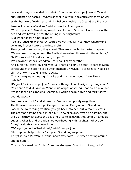floor and hung suspended in mid-air. Charlie and Grandpa Joe and Mr and

Mrs Bucket also floated upwards so that in a twink the entire company, as well

as the bed, were floating around like balloons inside the Great Glass Elevator.

'Now look what you've done!' said Mr Wonka, floating about.

'What happened?' Grandma Josephine called out. She had floated clear of the bed and was hovering near the ceiling in her nightshirt.

'Did we go too far?' Charlie asked.

'Too far?' cried Mr Wonka. 'Of course we went too far! You know where we've gone, my friends? We've gone into orbit!'

They gaped, they gasped, they stared. They were too flabbergasted to speak. 'We are now rushing around the Earth at seventeen thousand miles an hour,' Mr Wonka said. 'How does that grab you?'

'I'm choking!' gasped Grandma Georgina. 'I can't breathe!'

'Of course you can't,' said Mr Wonka. 'There's no air up here.' He sort of swam across under the ceiling to a button marked OXYGEN. He pressed it. 'You'll be all right now,' he said. 'Breathe away.'

'This is the queerest feeling,' Charlie said, swimming about. 'I feel like a bubble.'

'It's great,' said Grandpa Joe. 'It feels as though I don't weigh anything at all.' 'You don't,' said Mr Wonka. 'None of us weighs anything – not even one ounce.' 'What piffle!' said Grandma Georgina. 'I weigh one hundred and thirty-seven pounds exactly.'

'Not now you don't,' said Mr Wonka. 'You are completely weightless.'

The three old ones, Grandpa George, Grandma Georgina and Grandma Josephine, were trying frantically to get back into bed, but without success. The bed was floating about in mid-air. They, of course, were also floating, and every time they got above the bed and tried to lie down, they simply floated up out of it. Charlie and Grandpa Joe were hooting with laughter. 'What's so funny?' said Grandma Josephine.

'We've got you out of bed at last,' said Grandpa Joe.

'Shut up and help us back!' snapped Grandma Josephine.

'Forget it,' said Mr Wonka. 'You'll never stay down. Just keep floating around and be happy.'

'The man's a madman!' cried Grandma Georgina. 'Watch out, I say, or he'll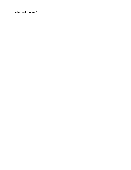lixivate the lot of us!'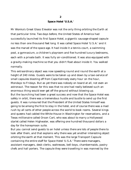**Space Hotel 'U.S.A.'**

Mr Wonka's Great Glass Elevator was not the only thing orbiting the Earth at that particular time. Two days before, the United States of America had successfully launched its first Space Hotel, a gigantic sausage-shaped capsule no less than one thousand feet long. It was called Space Hotel 'U.S.A.' and it was the marvel of the space age. It had inside it a tennis-court, a swimming pool, a gymnasium, a children's playroom and five hundred luxury bedrooms, each with a private bath. It was fully air-conditioned. It was also equipped with a gravity-making machine so that you didn't float about inside it. You walked normally.

This extraordinary object was now speeding round and round the earth at a height of 240 miles. Guests were to be taken up and down by a taxi-service of small capsules blasting off from Cape Kennedy every hour on the hour, Mondays to Fridays. But as yet there was nobody on board at all, not even an astronaut. The reason for this was that no one had really believed such an enormous thing would ever get off the ground without blowing up. But the launching had been a great success and now that the Space Hotel was safely in orbit, there was a tremendous hustle and bustle to send up the first guests. It was rumoured that the President of the United States himself was going to be among the first to stay in the hotel, and of course there was a mad rush by all sorts of other people across the world to book rooms. Several kings and queens had cabled the White House in Washington for reservations, and a Texas millionaire called Orson Cart, who was about to marry a Hollywood starlet called Helen Highwater, was offering one hundred thousand dollars a day for the honeymoon suite.

But you cannot send guests to an hotel unless there are lots of people there to look after them, and that explains why there was yet another interesting object orbiting the earth at that moment. This was the large Transport Capsule containing the entire staff for Space Hotel 'U.S.A.' There were managers, assistant managers, desk-clerks, waitresses, bell-boys, chambermaids, pastry chefs and hall porters. The capsule they were travelling in was manned by the

**2**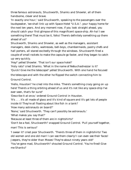three famous astronauts, Shuckworth, Shanks and Showler, all of them handsome, clever and brave.

'In exactly one hour,' said Shuckworth, speaking to the passengers over the loudspeaker, 'we shall link up with Space Hotel "U.S.A.", your happy home for the next ten years. And any moment now, if you look straight ahead, you should catch your first glimpse of this magnificent space-ship. Ah-ha! I see something there! That must be it, folks! There's definitely something up there ahead of us!'

Shuckworth, Shanks and Showler, as well as the managers, assistant managers, desk-clerks, waitresses, bell-boys, chambermaids, pastry chefs and hall porters, all stared excitedly through the windows. Shuckworth fired a couple of small rockets to make the capsule go faster, and they began to catch up very quickly.

'Hey!' yelled Showler. 'That isn't our space hotel!'

'Holy rats!' cried Shanks. 'What in the name of Nebuchadnezzar is it!' 'Quick! Give me the telescope!' yelled Shuckworth. With one hand he focused

the telescope and with the other he flipped the switch connecting him to

Ground Control.

'Hello, Houston!' he cried into the mike. 'There's something crazy going on up here! There's a thing orbiting ahead of us and it's not like any space-ship I've ever seen, that's for sure!'

'Describe it at once,' ordered Ground Control in Houston.

'It's . . . it's all made of glass and it's kind of square and it's got lots of people inside it! They're all floating about like fish in a tank!'

'How many astronauts on board?'

'None,' said Shuckworth. 'They can't possibly be astronauts.'

'What makes you say that?'

'Because at least three of them are in nightshirts!'

'Don't be a fool, Shuckworth!' snapped Ground Control. 'Pull yourself together, man! This is serious!'

'I swear it!' cried poor Shuckworth. 'There's three of them in nightshirts! Two old women and one old man! I can see them clearly! I can even see their faces! Jeepers, they're older than Moses! They're about ninety years old!'

'You've gone mad, Shuckworth!' shouted Ground Control. 'You're fired! Give me Shanks!'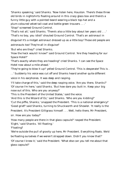'Shanks speaking,' said Shanks. 'Now listen here, Houston. There's these three old birds in nightshirts floating around in this crazy glass box and there's a funny little guy with a pointed beard wearing a black top-hat and a plum-coloured velvet tail-coat and bottle-green trousers . . .'

'Stop!' screamed Ground Control.

'That's not all,' said Shanks. 'There's also a little boy about ten years old . . .' 'That's no boy, you idiot!' shouted Ground Control. 'That's an astronaut in disguise! It's a midget astronaut dressed up as a little boy! Those old people are astronauts too! They're all in disguise!'

'But who are they?' cried Shanks.

'How the heck would I know?' said Ground Control. 'Are they heading for our Space Hotel?'

'That's exactly where they are heading!' cried Shanks. 'I can see the Space Hotel now about a mile ahead.'

'They're going to blow it up!' yelled Ground Control. 'This is desperate! This is .

. .' Suddenly his voice was cut off and Shanks heard another quite different

voice in his earphones. It was deep and rasping.

'I'll take charge of this,' said the deep rasping voice. 'Are you there, Shanks?' 'Of course I'm here,' said Shanks. 'But how dare you butt in. Keep your big nose out of this. Who are you anyway?'

'This is the President of the United States,' said the voice.

'And this is the Wizard of Oz,' said Shanks. 'Who are you kidding?'

'Cut the piffle, Shanks,' snapped the President. 'This is a national emergency!' 'Good grief!' said Shanks, turning to Shuckworth and Showler. 'It really is the

President. It's President Gilligrass himself . . . Well, hello there, Mr President,

sir. How are you today?'

'How many people are there in that glass capsule?' rasped the President.

'Eight,' said Shanks. 'All floating.'

'Floating?

'We're outside the pull of gravity up here, Mr President. Everything floats. We'd be floating ourselves if we weren't strapped down. Didn't you know that?'

'Of course I knew it,' said the President. 'What else can you tell me about that glass capsule?'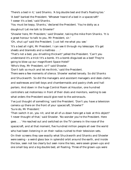'There's a bed in it,' said Shanks. 'A big double bed and that's floating too.'

'A bed!' barked the President. 'Whoever heard of a bed in a spacecraft!' 'I swear it's a bed,' said Shanks.

'You must be loopy, Shanks,' declared the President. 'You're dotty as a doughnut! Let me talk to Showler!'

'Showler here, Mr President,' said Showler, taking the mike from Shanks. 'It is a great honour to talk to you, Mr President, sir.'

'Oh, shut up!' said the President. 'Just tell me what you see.'

'It's a bed all right, Mr President. I can see it through my telescope. It's got sheets and blankets and a mattress . . .'

'That's not a bed, you drivelling thickwit!' yelled the President. 'Can't you understand it's a trick! It's a bomb. It's a bomb disguised as a bed! They're going to blow up our magnificent Space Hotel!'

'Who's they, Mr President, sir?' said Showler.

'Don't talk so much and let me think,' said the President.

There were a few moments of silence. Showler waited tensely. So did Shanks

and Shuckworth. So did the managers and assistant managers and desk-clerks

and waitresses and bell-boys and chambermaids and pastry chefs and hall

porters. And down in the huge Control Room at Houston, one hundred

controllers sat motionless in front of their dials and monitors, waiting to see what orders the President would give next to the astronauts.

'I've just thought of something,' said the President. 'Don't you have a television camera up there on the front of your spacecraft, Showler?' 'Sure do, Mr President.'

'Then switch it on, you nit, and let all of us down here get a look at this object!' 'I never thought of that,' said Showler. 'No wonder you're the President. Here

goes . . .' He reached out and switched on the TV camera in the nose of the spacecraft, and at that moment, five hundred million people all over the world who had been listening in on their radios rushed to their television sets.

On their screens they saw exactly what Shuckworth and Shanks and Showler were seeing – a weird glass box in splendid orbit around the earth, and inside the box, seen not too clearly but seen none the less, were seven grown-ups and one small boy and a big double bed, all floating. Three of the grown-ups were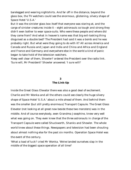barelegged and wearing nightshirts. And far off in the distance, beyond the glass box, the TV watchers could see the enormous, glistening, silvery shape of Space Hotel 'U.S.A.'

But it was the sinister glass box itself that everyone was staring at, and the cargo of sinister creatures inside it – eight astronauts so tough and strong they didn't even bother to wear space-suits. Who were these people and where did they come from? And what in heaven's name was that big evil-looking thing disguised as a double bed? The President had said it was a bomb and he was probably right. But what were they going to do with it? All across America and Canada and Russia and Japan and India and China and Africa and England and France and Germany and everywhere else in the world a kind of panic began to take hold of the television watchers.

'Keep well clear of them, Showler!' ordered the President over the radio link. 'Sure will, Mr President!' Showler answered. 'I sure will!'

# **3 The Link-Up**

Inside the Great Glass Elevator there was also a good deal of excitement. Charlie and Mr Wonka and all the others could see clearly the huge silvery shape of Space Hotel 'U.S.A.' about a mile ahead of them. And behind them was the smaller (but still pretty enormous) Transport Capsule. The Great Glass Elevator (not looking at all great now beside these two monsters) was in the middle. And of course everybody, even Grandma Josephine, knew very well what was going on. They even knew that the three astronauts in charge of the Transport Capsule were called Shuckworth, Shanks and Showler. The whole world knew about these things. Newspapers and television had been shouting about almost nothing else for the past six months. Operation Space Hotel was the event of the century.

'What a load of luck!' cried Mr Wonka. 'We've landed ourselves slap in the middle of the biggest space operation of all time!'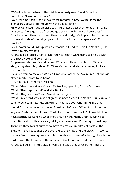'We've landed ourselves in the middle of a nasty mess,' said Grandma Josephine. 'Turn back at once!'

'No, Grandma,' said Charlie. 'We've got to watch it now. We must see the Transport Capsule linking up with the Space Hotel.'

Mr Wonka floated right up close to Charlie. 'Let's beat them to it, Charlie,' he whispered. 'Let's get there first and go aboard the Space Hotel ourselves!' Charlie gaped. Then he gulped. Then he said softly, 'It's impossible. You've got to have all sorts of special gadgets to link up with another spacecraft, Mr Wonka.'

'My Elevator could link up with a crocodile if it had to,' said Mr Wonka. 'Just leave it to me, my boy!'

'Grandpa Joe!' cried Charlie. 'Did you hear that? We're going to link up with the Space Hotel and go on board!'

'Yippeeeeee!' shouted Grandpa Joe. 'What a brilliant thought, sir! What a staggering idea!' He grabbed Mr Wonka's hand and started shaking it like a thermometer.

'Be quiet, you balmy old bat!' said Grandma Josephine. 'We're in a hot enough stew already. I want to go home.'

'Me, too!' said Grandma Georgina.

'What if they come after us?' said Mr Bucket, speaking for the first time. 'What if they capture us?' said Mrs Bucket.

'What if they shoot us?' said Grandma Georgina.

'What if my beard were made of green spinach?' cried Mr Wonka. 'Bunkum and tummyrot! You'll never get anywhere if you go about what-iffing like that.

Would Columbus have discovered America if he'd said "What if I sink on the

way over? What if I meet pirates? What if I never come back?" He wouldn't even

have started. We want no what-iffers around here, right, Charlie? Off we go,

then. But wait . . . this is a very tricky manoeuvre and I'm going to need help.

There are three lots of buttons we have to press all in different parts of the

Elevator. I shall take those two over there, the white and the black.' Mr Wonka

made a funny blowing noise with his mouth and glided effortlessly, like a huge

bird, across the Elevator to the white and black buttons, and there he hovered.

'Grandpa Joe, sir, kindly station yourself beside that silver button there . . .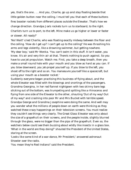yes, that's the one . . . And you, Charlie, go up and stay floating beside that little golden button near the ceiling. I must tell you that each of these buttons fires booster rockets from different places outside the Elevator. That's how we change direction. Grandpa Joe's rockets turn us to starboard, to the right. Charlie's turn us to port, to the left. Mine make us go higher or lower or faster or slower. All ready?'

'No! Wait!' cried Charlie, who was floating exactly midway between the floor and the ceiling. 'How do I get up? I can't get up to the ceiling!' He was thrashing his arms and legs violently, like a drowning swimmer, but getting nowhere. 'My dear boy,' said Mr Wonka. 'You can't swim in this stuff. It isn't water, you know. It's air and very thin air at that. There's nothing to push against. So you have to use jet propulsion. Watch me. First, you take a deep breath, then you make a small round hole with your mouth and you blow as hard as you can. If you blow downward, you jet-propel yourself up. If you blow to the left, you shoot off to the right and so on. You manoeuvre yourself like a spacecraft, but using your mouth as a booster rocket.'

Suddenly everyone began practising this business of flying about, and the whole Elevator was filled with the blowings and snortings of the passengers. Grandma Georgina, in her red flannel nightgown with two skinny bare legs sticking out of the bottom, was trumpeting and spitting like a rhinoceros and flying from one side of the Elevator to the other, shouting 'Out of my way! Out of my way!' and crashing into poor Mr and Mrs Bucket with terrible speed. Grandpa George and Grandma Josephine were doing the same. And well may you wonder what the millions of people down on earth were thinking as they watched these crazy happenings on their television screens. You must realize they couldn't see things very clearly. The Great Glass Elevator was only about the size of a grapefruit on their screens, and the people inside, slightly blurred through the glass, were no bigger than the pips of the grapefruit. Even so, the watchers below could see them buzzing about wildly like insects in a glass box. 'What in the world are they doing?' shouted the President of the United States, staring at the screen.

'Looks like some kind of a war-dance, Mr President,' answered astronaut Showler over the radio.

'You mean they're Red Indians!' said the President.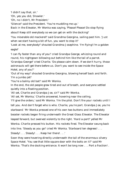'I didn't say that, sir.'

'Oh, yes you did, Showler.'

'Oh, no I didn't, Mr President.'

'Silence!' said the President. 'You're muddling me up.'

Back in the Elevator, Mr Wonka was saying, 'Please! Please! Do stop flying

about! Keep still everybody so we can get on with the docking!'

'You miserable old mackerel!' said Grandma Georgina, sailing past him. 'Just when we start having a bit of fun, you want to stop it!'

'Look at me, everybody!' shouted Grandma Josephine. 'I'm flying! I'm a golden eagle!'

'I can fly faster than any of you!' cried Grandpa George, whizzing round and round, his nightgown billowing out behind him like the tail of a parrot. 'Grandpa George!' cried Charlie. 'Do please calm down. If we don't hurry, those astronauts will get there before us. Don't you want to see inside the Space Hotel, any of you?'

'Out of my way!' shouted Grandma Georgina, blowing herself back and forth. 'I'm a jumbo jet!'

'You're a balmy old bat!' said Mr Wonka.

In the end, the old people grew tired and out of breath, and everyone settled quietly into a floating position.

'All set, Charlie and Grandpa Joe, sir?' said Mr Wonka.

'All set, Mr Wonka,' Charlie answered, hovering near the ceiling.

'I'll give the orders,' said Mr Wonka. 'I'm the pilot. Don't fire your rockets until I tell you. And don't forget who is who. Charlie, you're port. Grandpa Joe, you're starboard.' Mr Wonka pressed one of his own two buttons and immediately booster rockets began firing underneath the Great Glass Elevator. The Elevator leaped forward, but swerved violently to the right. 'Hard a-port!' yelled Mr Wonka. Charlie pressed his button. His rockets fired. The Elevator swung back into line. 'Steady as you go!' cried Mr Wonka. 'Starboard ten degrees! . . .

Steady! . . . Steady! . . . Keep her there! . . .'

Soon they were hovering directly underneath the tail of the enormous silvery Space Hotel. 'You see that little square door with the bolts on it?' said Mr Wonka. 'That's the docking entrance. It won't be long now . . . Port a fraction! .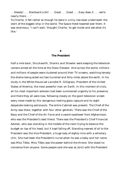.. Steady! ... Starboard a bit! ... Good ... Good ... Easy does it ... we're nearly there . . .'

To Charlie, it felt rather as though he were in a tiny row-boat underneath the stern of the biggest ship in the world. The Space Hotel towered over them. It was enormous. 'I can't wait,' thought Charlie, 'to get inside and see what it's like.'

## **4**

#### **The President**

Half a mile back, Shuckworth, Shanks and Showler were keeping the television camera aimed all the time at the Glass Elevator. And across the world, millions and millions of people were clustered around their TV screens, watching tensely the drama being acted out two hundred and forty miles above the earth. In his study in the White House sat Lancelot R. Gilligrass, President of the United States of America, the most powerful man on Earth. In this moment of crisis, all his most important advisers had been summoned urgently to his presence, and there they all were now, following closely on the giant television screen every move made by this dangerous-looking glass capsule and its eight desperate-looking astronauts. The entire Cabinet was present. The Chief of the Army was there, together with four other generals. There was the Chief of the Navy and the Chief of the Air Force and a sword-swallower from Afghanistan, who was the President's best friend. There was the President's Chief Financial Adviser, who was standing in the middle of the room trying to balance the budget on top of his head, but it kept falling off. Standing nearest of all to the President was the Vice-President, a huge lady of eighty-nine with a whiskery chin. She had been the President's nurse when he was a baby and her name was Miss Tibbs. Miss Tibbs was the power behind the throne. She stood no nonsense from anyone. Some people said she was as strict with the President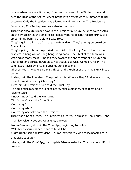now as when he was a little boy. She was the terror of the White House and even the Head of the Secret Service broke into a sweat when summoned to her presence. Only the President was allowed to call her Nanny. The President's famous cat, Mrs Taubsypuss, was also in the room.

There was absolute silence now in the Presidential study. All eyes were riveted on the TV screen as the small glass object, with its booster-rockets firing, slid smoothly up behind the giant Space Hotel.

'They're going to link up!' shouted the President. 'They're going on board our Space Hotel!'

'They're going to blow it up!' cried the Chief of the Army. 'Let's blow them up first, crash bang wallop bang-bang-bang-bang.' The Chief of the Army was wearing so many medal-ribbons they covered the entire front of his tunic on both sides and spread down on to his trousers as well. 'Come on, Mr P.,' he said. 'Let's have some really super-duper explosions!'

'Silence, you silly boy!' said Miss Tibbs, and the Chief of the Army slunk into a corner.

'Listen,' said the President. 'The point is this. Who are they? And where do they come from? Where's my Chief Spy?'

'Here, sir, Mr President, sir!' said the Chief Spy.

He had a false moustache, a false beard, false eyelashes, false teeth and a falsetto voice.

'Knock-Knock,' said the President.

'Who's there?' said the Chief Spy.

'Courteney.'

'Courteney who?'

'Courteney one yet?' said the President.

There was a brief silence. 'The President asked you a question,' said Miss Tibbs

in an icy voice. 'Have you Courteney one yet?'

'No, ma'am, not yet,' said the Chief Spy, beginning to twitch.

'Well, here's your chance,' snarled Miss Tibbs.

'Quite right,' said the President. 'Tell me immediately who those people are in that glass capsule!'

'Ah-ha,' said the Chief Spy, twirling his false moustache. 'That is a very difficult question.'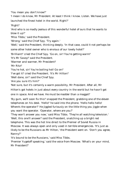'You mean you don't know?'

'I mean I do know, Mr President. At least I think I know. Listen. We have just launched the finest hotel in the world. Right?'

'Right!'

'And who is so madly jealous of this wonderful hotel of ours that he wants to blow it up?'

'Miss Tibbs,' said the President.

'Wrong,' said the Chief Spy. 'Try again.'

'Well,' said the President, thinking deeply. 'In that case, could it not perhaps be

some other hotel owner who is envious of our lovely hotel?'

'Brilliant!' cried the Chief Spy. 'Go on, sir! You're getting warm!'

'It's Mr Savoy!' said the President.

'Warmer and warmer, Mr President!'

'Mr Ritz!'

'You're hot, sir! You're boiling hot! Go on!'

'I've got it!' cried the President. 'It's Mr Hilton!'

'Well done, sir!' said the Chief Spy.

'Are you sure it's him?'

'Not sure, but it's certainly a warm possibility, Mr President. After all, Mr

Hilton's got hotels in just about every country in the world but he hasn't got

one in space. And we have. He must be madder than a maggot!'

'By gum, we'll soon fix this!' snapped the President, grabbing one of the eleven telephones on his desk. 'Hello!' he said into the phone. 'Hello hello hello! Where's the operator?' He jiggled furiously on the little thing you jiggle when you want the operator. 'Operator, where are you?'

'They won't answer you now,' said Miss Tibbs. 'They're all watching television.' 'Well, this one'll answer!' said the President, snatching up a bright red telephone. This was the hot line direct to the Premier of Soviet Russia in Moscow. It was always open and only used in terrible emergencies. 'It's just as likely to be the Russians as Mr Hilton,' the President went on. 'Don't you agree, Nanny?'

'It's bound to be the Russians,' said Miss Tibbs.

'Premier Yugetoff speaking,' said the voice from Moscow. 'What's on your mind, Mr President?'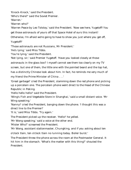'Knock-Knock,' said the President.

'Who's there?' said the Soviet Premier.

'Warren.'

'Warren who?'

'Warren Peace by Leo Tolstoy,' said the President. 'Now see here, Yugetoff! You

get those astronauts of yours off that Space Hotel of ours this instant!

Otherwise, I'm afraid we're going to have to show you just where you get off,

Yugetoff!'

'Those astronauts are not Russians, Mr President.'

'He's lying,' said Miss Tibbs.

'You're lying,' said the President.

'Not lying, sir,' said Premier Yugetoff. 'Have you looked closely at those

astronauts in the glass box? I myself cannot see them too clearly on my TV

screen, but one of them, the little one with the pointed beard and the top hat,

has a distinctly Chinese look about him. In fact, he reminds me very much of

my friend the Prime Minister of China . . .'

'Great garbage!' cried the President, slamming down the red phone and picking up a porcelain one. The porcelain phone went direct to the Head of the Chinese Republic in Peking.

'Hello hello hello!' said the President.

'Wing's Fish and Vegetable Store in Shanghai,' said a small distant voice. 'Mr Wing speaking.'

'Nanny!' cried the President, banging down the phone. 'I thought this was a direct line to the Premier!'

'It is,' said Miss Tibbs. 'Try again.'

The President picked up the receiver. 'Hello!' he yelled.

'Mr Wong speaking,' said a voice at the other end.

'Mister Who?' screamed the President.

'Mr Wong, assistant stationmaster, Chungking, and if you asking about ten

o'clock tlain, ten o'clock tlain no lunning today. Boiler burst.'

The President threw the phone across the room at the Postmaster General. It hit him in the stomach. 'What's the matter with this thing?' shouted the President.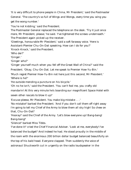'It is very difficult to phone people in China, Mr President,' said the Postmaster General. 'The country's so full of Wings and Wongs, every time you wing you get the wong number.'

'You're not kidding,' said the President.

The Postmaster General replaced the telephone on the desk. 'Try it just once more, Mr President, please,' he said. 'I've tightened the screws underneath.' The President again picked up the receiver.

'Gleetings, honourable Mr Plesident,' said a soft faraway voice. 'Here is Assistant-Plemier Chu-On-Dat speaking. How can I do for you?'

'Knock-Knock,' said the President.

'Who der?'

'Ginger.'

'Ginger who?'

'Ginger yourself much when you fell off the Great Wall of China?' said the

President. 'Okay, Chu-On-Dat. Let me speak to Premier How-Yu-Bin.'

'Much regret Plemier How-Yu-Bin not here just this second, Mr Plesident.' 'Where is he?'

'He outside mending a puncture on his bicycle.'

'Oh no he isn't,' said the President. 'You can't fool me, you crafty old

mandarin! At this very minute he's boarding our magnificent Space Hotel with seven other rascals to blow it up!'

'Excuse pleese, Mr Plesident. You make big mistake . . .'

'No mistake!' barked the President. 'And if you don't call them off right away I'm going to tell my Chief of the Army to blow them all sky high! So chew on that, Chu-On-Dat!'

'Hooray!' said the Chief of the Army. 'Let's blow everyone up! Bang-bang! Bang-bang!'

'Silence!' barked Miss Tibbs.

'I've done it!' cried the Chief Financial Adviser. 'Look at me, everybody! I've balanced the budget!' And indeed he had. He stood proudly in the middle of the room with the enormous 200 billion dollar budget balanced beautifully on the top of his bald head. Everyone clapped. Then suddenly the voice of astronaut Shuckworth cut in urgently on the radio loudspeaker in the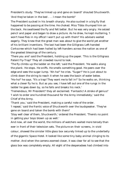President's study. 'They've linked up and gone on board!' shouted Shuckworth. 'And they've taken in the bed . . . I mean the bomb!'

The President sucked in his breath sharply. He also sucked in a big fly that happened to be passing at the time. He choked. Miss Tibbs thumped him on the back. He swallowed the fly and felt better. But he was very angry. He seized pencil and paper and began to draw a picture. As he drew, he kept muttering, 'I won't have flies in my office! I won't put up with them!' His advisers waited eagerly. They knew that the great man was about to give the world yet another of his brilliant inventions. The last had been the Gilligrass Left-handed Corkscrew which had been hailed by left-handers across the nation as one of the greatest blessings of the century.

'There you are!' said the President, holding up the paper. 'This is the Gilligrass Patent Fly-Trap!' They all crowded round to look.

'The fly climbs up the ladder on the left,' said the President. 'He walks along the plank. He stops. He sniffs. He smells something good. He peers over the edge and sees the sugar-lump. "Ah-ha!" he cries. "Sugar!" He is just about to climb down the string to reach it when he sees the basin of water below.

"Ho-ho!" he says. "It's a trap! They want me to fall in!" So he walks on, thinking what a clever fly he is. But as you see, I have left out one of the rungs in the ladder he goes down by, so he falls and breaks his neck.'

'Tremendous, Mr President!' they all exclaimed. 'Fantastic! A stroke of genius!' 'I wish to order one hundred thousand for the Army immediately,' said the Chief of the Army.

'Thank you,' said the President, making a careful note of the order.

'I repeat,' said the frantic voice of Shuckworth over the loudspeaker. 'They've gone on board and taken the bomb with them!'

'Stay well clear of them, Shuckworth,' ordered the President. 'There's no point in getting your boys blown up as well.'

And now, all over the world, the millions of watchers waited more tensely than ever in front of their television sets. The picture on their screens, in vivid

colour, showed the sinister little glass box securely linked up to the underbelly of the gigantic Space Hotel. It looked like some tiny baby animal clinging to its mother. And when the camera zoomed closer, it was clear for all to see that the glass box was completely empty. All eight of the desperadoes had climbed into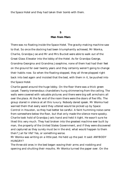the Space Hotel and they had taken their bomb with them.

**5**

### **Men from Mars**

There was no floating inside the Space Hotel. The gravity-making machine saw to that. So once the docking had been triumphantly achieved, Mr Wonka, Charlie, Grandpa Joe and Mr and Mrs Bucket were able to walk out of the Great Glass Elevator into the lobby of the Hotel. As for Grandpa George, Grandma Georgina and Grandma Josephine, none of them had had their feet on the ground for over twenty years and they certainly weren't going to change their habits now. So when the floating stopped, they all three plopped right back into bed again and insisted that the bed, with them in it, be pushed into the Space Hotel.

Charlie gazed around the huge lobby. On the floor there was a thick green carpet. Twenty tremendous chandeliers hung shimmering from the ceiling. The walls were covered with valuable pictures and there were big soft armchairs all over the place. At the far end of the room there were the doors of five lifts. The group stared in silence at all this luxury. Nobody dared speak. Mr Wonka had warned them that every word they uttered would be picked up by Space Control in Houston, so they had better be careful. A faint humming noise came from somewhere below the floor, but that only made the silence more spooky. Charlie took hold of Grandpa Joe's hand and held it tight. He wasn't sure he liked this very much. They had broken into the greatest machine ever built by man, the property of the United States Government, and if they were discovered and captured as they surely must be in the end, what would happen to them then? Jail for life? Yes, or something worse.

Mr Wonka was writing on a little pad. He held up the pad. It said: ANYBODY HUNGRY?

The three old ones in the bed began waving their arms and nodding and opening and shutting their mouths. Mr Wonka turned the paper over. On the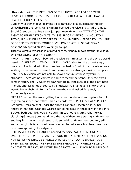other side it said: THE KITCHENS OF THIS HOTEL ARE LOADED WITH LUSCIOUS FOOD, LOBSTERS, STEAKS, ICE-CREAM. WE SHALL HAVE A FEAST TO END ALL FEASTS.

Suddenly, a tremendous booming voice came out of a loudspeaker hidden somewhere in the room. 'ATTENTION!' boomed the voice and Charlie jumped. So did Grandpa Joe. Everybody jumped, even Mr Wonka. 'ATTENTION THE EIGHT FOREIGN ASTRONAUTS! THIS IS SPACE CONTROL IN HOUSTON, TEXAS, U.S.A.! YOU ARE TRESPASSING ON AMERICAN PROPERTY! YOU ARE ORDERED TO IDENTIFY YOURSELVES IMMEDIATELY! SPEAK NOW!' 'Ssshhh!' whispered Mr Wonka, finger to lips.

There followed a few seconds of awful silence. Nobody moved except Mr Wonka who kept saying 'Ssshhh! Ssshhh!'

'WHO . . . ARE . . . YOU?' boomed the voice from Houston, and the whole world heard it. 'I REPEAT . . . WHO . . . ARE . . . YOU?' shouted the urgent angry voice, and five hundred million people crouched in front of their television sets waiting for an answer to come from the mysterious strangers inside the Space Hotel. The television was not able to show a picture of these mysterious strangers. There was no camera in there to record the scene. Only the words came through. The TV watchers saw nothing but the outside of the giant hotel in orbit, photographed of course by Shuckworth, Shanks and Showler who were following behind. For half a minute the world waited for a reply. But no reply came.

'SPEAK!' boomed the voice, getting louder and louder and ending in a fearful frightening shout that rattled Charlie's eardrums. 'SPEAK! SPEAK! SPEAK!' Grandma Georgina shot under the sheet. Grandma Josephine stuck her fingers in her ears. Grandpa George buried his head in the pillow. Mr and Mrs Bucket, both petrified, were once again in each other's arms. Charlie was clutching Grandpa Joe's hand, and the two of them were staring at Mr Wonka and begging him with their eyes to do something. Mr Wonka stood very still, and although his face looked calm, you can be quite sure his clever inventive brain was spinning like a dynamo.

'THIS IS YOUR LAST CHANCE!' boomed the voice. 'WE ARE ASKING YOU ONCE MORE . . . WHO . . . ARE . . . YOU? REPLY IMMEDIATELY! IF YOU DO NOT REPLY WE SHALL BE FORCED TO REGARD YOU AS DANGEROUS ENEMIES. WE SHALL THEN PRESS THE EMERGENCY FREEZER SWITCH AND THE TEMPERATURE IN THE SPACE HOTEL WILL DROP TO MINUS ONE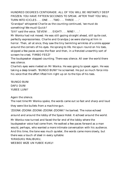HUNDRED DEGREES CENTIGRADE. ALL OF YOU WILL BE INSTANTLY DEEP FROZEN. YOU HAVE FIFTEEN SECONDS TO SPEAK. AFTER THAT YOU WILL TURN INTO ICICLES . . . ONE . . . TWO . . . THREE . . .'

'Grandpa!' whispered Charlie as the counting continued, 'we must do something! We must! Quick!'

'SIX!' said the voice. 'SEVEN! . . . EIGHT! . . . NINE! . . .'

Mr Wonka had not moved. He was still gazing straight ahead, still quite cool, perfectly expressionless. Charlie and Grandpa Joe were staring at him in horror. Then, all at once, they saw the tiny twinkling wrinkles of a smile appear around the corners of his eyes. He sprang to life. He spun round on his toes, skipped a few paces across the floor and then, in a frenzied unearthly sort of scream he cried, 'FIMBO FEEZ!'

The loudspeaker stopped counting. There was silence. All over the world there was silence.

Charlie's eyes were riveted on Mr Wonka. He was going to speak again. He was taking a deep breath. 'BUNGO BUNI!' he screamed. He put so much force into his voice that the effort lifted him right up on to the tips of his toes.

'BUNGO BUNI DAFU DUNI YUBEE LUNI!'

Again the silence.

The next time Mr Wonka spoke, the words came out so fast and sharp and loud they were like bullets from a machine-gun.

'ZOONK-ZOONK-ZOONK-ZOONK-ZOONK!' he barked. The noise echoed around and around the lobby of the Space Hotel. It echoed around the world.

Mr Wonka now turned and faced the far end of the lobby where the loudspeaker voice had come from. He walked a few paces forward as a man would, perhaps, who wanted a more intimate conversation with his audience. And this time, the tone was much quieter, the words came more slowly, but there was a touch of steel in every syllable:

'KIRASUKU MALIBUKU,

WEEBEE WIZE UN YUBEE KUKU!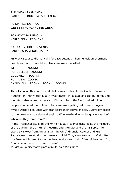ALIPENDA KAKAMENDA, PANTZ FORLDUN IFNO SUSPENDA!

FUIKIKA KANDERIKA, WEEBE STRONGA YUBEE WEEKA!

POPOKOTA BORUMOKA VERI RISKI YU PROVOKA!

KATIKATI MOONS UN STARS FANFANISHA VENUS MARS!'

Mr Wonka paused dramatically for a few seconds. Then he took an enormous deep breath and in a wild and fearsome voice, he yelled out:

'KITIMBIBI ZOONK! FUMBOLEEZI ZOONK! GUGUMIZA ZOONK! FUMIKAKA ZOONK! ANAPOLALA ZOONK ZOONK ZOONK!'

The effect of all this on the world below was electric. In the Control Room in Houston, in the White House in Washington, in palaces and city buildings and mountain shacks from America to China to Peru, the five hundred million people who heard that wild and fearsome voice yelling out these strange and mystic words all shivered with fear before their television sets. Everybody began turning to everybody else and saying, 'Who are they? What language was that? Where do they come from?'

In the President's study in the White House, Vice-President Tibbs, the members of the Cabinet, the Chiefs of the Army and the Navy and the Air Force, the sword-swallower from Afghanistan, the Chief Financial Adviser and Mrs Taubsypuss the cat, all stood tense and rigid. They were very much afraid. But the President himself kept a cool head and a clear brain. 'Nanny!' he cried. 'Oh, Nanny, what on earth do we do now?'

'I'll get you a nice warm glass of milk,' said Miss Tibbs.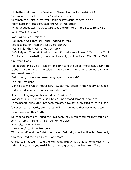'I hate the stuff,' said the President. 'Please don't make me drink it!'

'Summon the Chief Interpreter,' said Miss Tibbs.

'Summon the Chief Interpreter!' said the President. 'Where is he?'

'Right here, Mr President,' said the Chief Interpreter.

'What language was that creature spouting up there in the Space Hotel? Be

quick! Was it Eskimo?'

'Not Eskimo, Mr President.'

'Ha! Then it was Tagalog! Either Tagalog or Ugro!'

'Not Tagalog, Mr President. Not Ugro, either.'

'Was it Tulu, then? Or Tungus or Tupi?'

'Definitely not Tulu, Mr President. And I'm quite sure it wasn't Tungus or Tupi.'

'Don't stand there telling him what it wasn't, you idiot!' said Miss Tibbs. 'Tell

him what it was!'

'Yes, ma'am, Miss Vice-President, ma'am,' said the Chief Interpreter, beginning to shake. 'Believe me, Mr President,' he went on, 'it was not a language I have ever heard before.'

'But I thought you knew every language in the world?'

'I do, Mr President.'

'Don't lie to me, Chief Interpreter. How can you possibly know every language

in the world when you don't know this one?'

'It is not a language of this world, Mr President.'

'Nonsense, man!' barked Miss Tibbs. 'I understood some of it myself!'

'These people, Miss Vice-President, ma'am, have obviously tried to learn just a

few of our easier words, but the rest of it is a language that has never been

heard before on this Earth!'

'Screaming scorpions!' cried the President. 'You mean to tell me they could be coming from . . . from . . . from somewhere else?'

'Precisely, Mr President.'

'Like where?' said the President.

'Who knows?' said the Chief Interpreter. 'But did you not notice, Mr President,

how they used the words Venus and Mars?'

'Of course I noticed it,' said the President. 'But what's that got to do with it? . . . Ah-ha! I see what you're driving at! Good gracious me! Men from Mars!'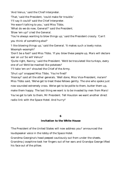'And Venus,' said the Chief Interpreter.

'That,' said the President, 'could make for trouble.'

'I'll say it could!' said the Chief Interpreter.

'He wasn't talking to you,' said Miss Tibbs.

'What do we do now, General?' said the President.

'Blow 'em up!' cried the General.

'You're always wanting to blow things up,' said the President crossly. 'Can't you think of something else?'

'I like blowing things up,' said the General. 'It makes such a lovely noise. Woomph-woomph!'

'Don't be a fool!' said Miss Tibbs. 'If you blow these people up, Mars will declare war on us! So will Venus!'

'Quite right, Nanny,' said the President. 'We'd be troculated like turkeys, every one of us! We'd be mashed like potatoes!'

'I'll take 'em on!' shouted the Chief of the Army.

'Shut up!' snapped Miss Tibbs. 'You're fired!'

'Hooray!' said all the other generals. 'Well done, Miss Vice-President, ma'am!' Miss Tibbs said, 'We've got to treat these fellows gently. The one who spoke just now sounded extremely cross. We've got to be polite to them, butter them up, make them happy. The last thing we want is to be invaded by men from Mars! You've got to talk to them, Mr President. Tell Houston we want another direct radio link with the Space Hotel. And hurry!'

**6**

## **Invitation to the White House**

'The President of the United States will now address you!' announced the loudspeaker voice in the lobby of the Space Hotel.

Grandma Georgina's head peeped cautiously out from under the sheets. Grandma Josephine took her fingers out of her ears and Grandpa George lifted his face out of the pillow.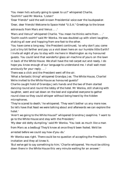'You mean he's actually going to speak to us?' whispered Charlie. 'Ssshhh!' said Mr Wonka. 'Listen!'

'Dear friends!' said the well-known Presidential voice over the loudspeaker.

'Dear, dear friends! Welcome to Space Hotel "U.S.A." Greetings to the brave astronauts from Mars and Venus . . .'

'Mars and Venus!' whispered Charlie. 'You mean he thinks we're from . . .' 'Ssshh-ssshh-ssshh!' said Mr Wonka. He was doubled up with silent laughter, shaking all over and hopping from one foot to the other.

'You have come a long way,' the President continued, 'so why don't you come just a tiny bit farther and pay us a visit down here on our humble little Earth? I invite all eight of you to stay with me here in Washington as my honoured guests. You could land that wonderful glass air-machine of yours on the lawn in back of the White House. We shall have the red carpet out and ready. I do hope you know enough of our language to understand me. I shall wait most anxiously for your reply . . .'

There was a click and the President went off the air.

'What a fantastic thing!' whispered Grandpa Joe. 'The White House, Charlie! We're invited to the White House as honoured guests!'

Charlie caught hold of Grandpa Joe's hands and the two of them started dancing round and round the lobby of the hotel. Mr Wonka, still shaking with laughter, went and sat down on the bed and signalled everyone to gather round close so they could whisper without being heard by the hidden microphones.

'They're scared to death,' he whispered. 'They won't bother us any more now. So let's have that feast we were talking about and afterwards we can explore the hotel.'

'Aren't we going to the White House?' whispered Grandma Josephine. 'I want to go to the White House and stay with the President.'

'My dear old dotty dumpling,' said Mr Wonka. 'You look as much like a man

from Mars as a bedbug! They'd know at once they'd been fooled. We'd be

arrested before we could say how d'you do.'

Mr Wonka was right. There could be no question of accepting the President's invitation and they all knew it.

'But we've got to say something to him,' Charlie whispered. 'He must be sitting down there in the White House this very minute waiting for an answer.'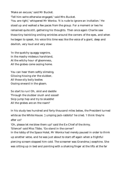'Make an excuse,' said Mr Bucket.

'Tell him we're otherwise engaged,' said Mrs Bucket.

'You are right,' whispered Mr Wonka. 'It is rude to ignore an invitation.' He stood up and walked a few paces from the group. For a moment or two he remained quite still, gathering his thoughts. Then once again Charlie saw those tiny twinkling smiling wrinkles around the corners of the eyes, and when he began to speak, his voice this time was like the voice of a giant, deep and devilish, very loud and very slow:

'In the quelchy quaggy sogmire, In the mashy mideous harshland, At the witchy hour of gloomness, All the grobes come oozing home.

You can hear them softly slimeing, Glissing hissing o'er the slubber, All those oily boily bodies Oozing onward in the gloam.

So start to run! Oh, skid and daddle Through the slubber slush and sossel! Skip jump hop and try to skaddle! All the grobes are on the roam!'

In his study two hundred and forty thousand miles below, the President turned white as the White House. 'Jumping jack-rabbits!' he cried. 'I think they're after us!'

'Oh, please let me blow them up!' said the Ex-Chief of the Army.

'Silence!' said Miss Tibbs. 'Go stand in the corner!'

In the lobby of the Space Hotel, Mr Wonka had merely paused in order to think up another verse, and he was just about to start off again when a frightful piercing scream stopped him cold. The screamer was Grandma Josephine. She was sitting up in bed and pointing with a shaking finger at the lifts at the far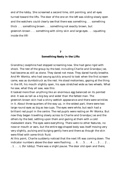end of the lobby. She screamed a second time, still pointing, and all eyes turned toward the lifts. The door of the one on the left was sliding slowly open and the watchers could clearly see that there was something . . . something thick . . . something brown . . . something not exactly brown, but greenish-brown . . . something with slimy skin and large eyes . . . squatting inside the lift!

> **7 Something Nasty in the Lifts**

Grandma Josephine had stopped screaming now. She had gone rigid with shock. The rest of the group by the bed, including Charlie and Grandpa Joe, had become as still as stone. They dared not move. They dared hardly breathe. And Mr Wonka, who had swung quickly around to look when the first scream came, was as dumbstruck as the rest. He stood motionless, gaping at the thing in the lift, his mouth slightly open, his eyes stretched wide as two wheels. What he saw, what they all saw, was this:

It looked more than anything like an enormous egg balanced on its pointed end. It was as tall as a big boy and wider than the fattest man. The greenish-brown skin had a shiny wettish appearance and there were wrinkles in it. About three-quarters of the way up, in the widest part, there were two large round eyes as big as tea-cups. The eyes were white, but each had a brilliant red pupil in the centre. The red pupils were resting on Mr Wonka. But now they began travelling slowly across to Charlie and Grandpa Joe and the others by the bed, settling upon them and gazing at them with a cold malevolent stare. The eyes were everything. There were no other features, no nose or mouth or ears, but the entire egg-shaped body was itself moving very very slightly, pulsing and bulging gently here and there as though the skin were filled with some thick fluid.

At this point, Charlie suddenly noticed that the next lift was coming down. The indicator numbers above the door were flashing . . . 6 . . . 5 . . . 4 . . . 3 . . . 2 . . . 1 . . . L (for lobby). There was a slight pause. The door slid open and there,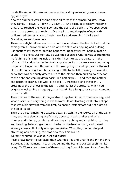inside the second lift, was another enormous slimy wrinkled greenish-brown egg with eyes!

Now the numbers were flashing above all three of the remaining lifts. Down they came . . . down . . . down . . . down . . . And soon, at precisely the same time, they reached the lobby floor and the doors slid open . . . five open doors now . . . one creature in each . . . five in all . . . and five pairs of eyes with brilliant red centres all watching Mr Wonka and watching Charlie and Grandpa Joe and the others.

There were slight differences in size and shape between the five, but all had the same greenish-brown wrinkled skin and the skin was rippling and pulsing. For about thirty seconds nothing happened. Nobody stirred, nobody made a sound. The silence was terrible. So was the suspense. Charlie was so frightened he felt himself shrinking inside his skin. Then he saw the creature in the left-hand lift suddenly starting to change shape! Its body was slowly becoming longer and longer, and thinner and thinner, going up and up towards the roof of the lift, not straight up, but curving a little to the left, making a snake-like curve that was curiously graceful, up to the left and then curling over the top to the right and coming down again in a half-circle . . . and then the bottom end began to grow out as well, like a tail . . . creeping along the floor . . . creeping along the floor to the left . . . until at last the creature, which had originally looked like a huge egg, now looked like a long curvy serpent standing up on its tail.

Then the one in the next lift began stretching itself in much the same way, and what a weird and oozy thing it was to watch! It was twisting itself into a shape that was a bit different from the first, balancing itself almost but not quite on the tip of its tail.

Then the three remaining creatures began stretching themselves all at the same time, each one elongating itself slowly upward, growing taller and taller, thinner and thinner, curving and twisting, stretching and stretching, curling and bending, balancing either on the tail or the head or both, and turned sideways now so that only one eye was visible. When they had all stopped stretching and bending, this was how they finished up:

'Scram!' shouted Mr Wonka. 'Get out quick!'

People have never moved faster than Grandpa Joe and Charlie and Mr and Mrs Bucket at that moment. They all got behind the bed and started pushing like crazy. Mr Wonka ran in front of them shouting 'Scram! Scram! Scram!' and in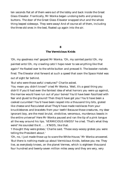ten seconds flat all of them were out of the lobby and back inside the Great Glass Elevator. Frantically, Mr Wonka began undoing bolts and pressing buttons. The door of the Great Glass Elevator snapped shut and the whole thing leaped sideways. They were away! And of course all of them, including the three old ones in the bed, floated up again into the air.

> **8 The Vermicious Knids**

'Oh, my goodness me!' gasped Mr Wonka. 'Oh, my sainted pants! Oh, my painted ants! Oh, my crawling cats! I hope never to see anything like that again!' He floated over to the white button and pressed it. The booster-rockets fired. The Elevator shot forward at such a speed that soon the Space Hotel was out of sight far behind.

'But who were those awful creatures?' Charlie asked.

'You mean you didn't know?' cried Mr Wonka. 'Well, it's a good thing you didn't! If you'd had even the faintest idea of what horrors you were up against, the marrow would have run out of your bones! You'd have been fossilized with fear and glued to the ground! Then they'd have got you! You'd have been a cooked cucumber! You'd have been rasped into a thousand tiny bits, grated like cheese and flocculated alive! They'd have made necklaces from your knucklebones and bracelets from your teeth! Because those creatures, my dear ignorant boy, are the most brutal, vindictive, venomous, murderous beasts in the entire universe!' Here Mr Wonka paused and ran the tip of a pink tongue all the way around his lips. 'VERMICIOUS KNIDS!' he cried. 'That's what they were!' He sounded the K . . . K'NIDS, like that.

'I thought they were grobes,' Charlie said. 'Those oozy-woozy grobes you were telling the President about.'

'Oh, no, I just made those up to scare the White House,' Mr Wonka answered. 'But there is nothing made up about Vermicious Knids, believe you me. They live, as everybody knows, on the planet Vermes, which is eighteen thousand four hundred and twenty-seven million miles away and they are very, very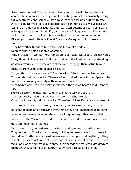clever brutes indeed. The Vermicious Knid can turn itself into any shape it wants. It has no bones. Its body is really one huge muscle, enormously strong, but very stretchy and squishy, like a mixture of rubber and putty with steel wires inside. Normally it is egg-shaped, but it can just as easily give itself two legs like a human or four legs like a horse. It can become as round as a ball or as long as a kite-string. From fifty yards away, a fully grown Vermicious Knid could stretch out its neck and bite your head off without even getting up!' 'Bite off your head with what?' said Grandma Georgina. 'I didn't see any mouth.'

'They have other things to bite with,' said Mr Wonka darkly.

'Such as what?' said Grandma Georgina.

'Ring off,' said Mr Wonka. 'Your time's up. But listen, everybody. I've just had a funny thought. There I was fooling around with the President and pretending we were creatures from some other planet and, by golly, there actually were creatures from some other planet on board!'

'Do you think there were many?' Charlie asked. 'More than the five we saw?' 'Thousands!' said Mr Wonka. 'There are five hundred rooms in that Space Hotel and there's probably a family of them in every room!'

'Somebody's going to get a nasty shock when they go on board!' said Grandpa Joe.

They'll be eaten like peanuts,' said Mr Wonka. 'Every one of them.'

'You don't really mean that, do you, Mr Wonka?' Charlie said.

'Of course I mean it,' said Mr Wonka. 'These Vermicious Knids are the terror of the Universe. They travel through space in great swarms, landing on other stars and planets and destroying everything they find. There used to be some rather nice creatures living on the moon a long time ago. They were called Poozas. But the Vermicious Knids ate the lot. They did the same on Venus and Mars and many other planets.'

'Why haven't they come down to our Earth and eaten us?' Charlie asked. 'They've tried to, Charlie, many times, but they've never made it. You see, all around our Earth there is a vast envelope of air and gas, and anything hitting that at high speed gets red hot. Space capsules are made of special heat-proof metal, and when they make a re-entry, their speeds are reduced right down to about two thousand miles an hour, first by retro-rockets and then by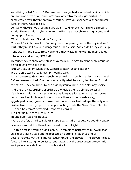something called "friction". But even so, they get badly scorched. Knids, which are not heat-proof at all, and don't have any retro-rockets, get sizzled up completely before they're halfway through. Have you ever seen a shooting star?' 'Lots of them,' Charlie said.

'Actually, they're not shooting stars at all,' said Mr Wonka. 'They're Shooting Knids. They're Knids trying to enter the Earth's atmosphere at high speed and going up in flames.'

'What rubbish,' said Grandma Georgina.

'You wait,' said Mr Wonka. 'You may see it happening before the day is done.' 'But if they're so fierce and dangerous,' Charlie said, 'why didn't they eat us up right away in the Space Hotel? Why did they waste time twisting their bodies into letters and writing SCRAM?'

'Because they're show-offs,' Mr Wonka replied. 'They're tremendously proud of being able to write like that.'

'But why say scram when they wanted to catch us and eat us?'

'It's the only word they know,' Mr Wonka said.

'Look!' screamed Grandma Josephine, pointing through the glass. 'Over there!' Before he even looked, Charlie knew exactly what he was going to see. So did

the others. They could tell by the high hysterical note in the old lady's voice.

And there it was, cruising effortlessly alongside them, a simply colossal Vermicious Knid, as thick as a whale, as long as a lorry, with the most brutal vermicious look in its eye! It was no more than a dozen yards away,

egg-shaped, slimy, greenish-brown, with one malevolent red eye (the only one visible) fixed intently upon the people floating inside the Great Glass Elevator! 'The end has come!' screamed Grandma Georgina.

'He'll eat us all!' cried Mrs Bucket.

'In one gulp!' said Mr Bucket.

'We're done for, Charlie,' said Grandpa Joe. Charlie nodded. He couldn't speak or make a sound. His throat was seized up with fright.

But this time Mr Wonka didn't panic. He remained perfectly calm. 'We'll soon get rid of that!' he said and he pressed six buttons all at once and six booster-rockets went off simultaneously under the Elevator. The Elevator leaped forward like a stung horse, faster and faster, but the great green greasy Knid kept pace alongside it with no trouble at all.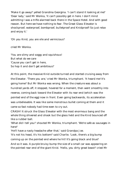'Make it go away!' yelled Grandma Georgina. 'I can't stand it looking at me!' 'Dear lady,' said Mr Wonka, 'it can't possibly get in here. I don't mind admitting I was a trifle alarmed back there in the Space Hotel. And with good reason. But here we have nothing to fear. The Great Glass Elevator is shockproof, waterproof, bombproof, bulletproof and Knidproof! So just relax and enjoy it.'

'Oh you Knid, you are vile and vermicious!'

cried Mr Wonka.

'You are slimy and soggy and squishous! But what do we care 'Cause you can't get in here, So hop it and don't get ambitious!'

At this point, the massive Knid outside turned and started cruising away from the Elevator. 'There you are,' cried Mr Wonka, triumphant. 'It heard me! It's going home!' But Mr Wonka was wrong. When the creature was about a hundred yards off, it stopped, hovered for a moment, then went smoothly into reverse, coming back toward the Elevator with its rear-end (which was the pointed end of the egg) now in front. Even going backwards, its acceleration was unbelievable. It was like some monstrous bullet coming at them and it came so fast nobody had time even to cry out.

CRASH! It struck the Glass Elevator with the most enormous bang and the whole thing shivered and shook but the glass held and the Knid bounced off like a rubber ball.

'What did I tell you!' shouted Mr Wonka, triumphant. 'We're safe as sausages in here!'

'He'll have a nasty headache after that,' said Grandpa Joe.

'It's not his head, it's his bottom!' said Charlie. 'Look, there's a big bump coming up on the pointed end where he hit! It's going black and blue!'

And so it was. A purple bruisy bump the size of a small car was appearing on the pointed rear-end of the giant Knid. 'Hello, you dirty great beast!' cried Mr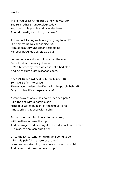Wonka.

'Hello, you great Knid! Tell us, how do you do? You're a rather strange colour today. Your bottom is purple and lavender blue. Should it really be looking that way?

Are you not feeling well? Are you going to faint? Is it something we cannot discuss? It must be a very unpleasant complaint, For your backside's as big as a bus!

Let me get you a doctor. I know just the man For a Knid with a nasty disease. He's a butcher by trade which is not a bad plan, And he charges quite reasonable fees.

Ah, here he is now! "Doc, you really are kind To travel so far into space. There's your patient, the Knid with the purple behind! Do you think it's a desperate case?"

"Great heavens above! It's no wonder he's pale!" Said the doc with a horrible grin. "There's a sort of balloon on the end of his tail! I must prick it at once with a pin!"

So he got out a thing like an Indian spear, With feathers all over the top, And he lunged and he caught the Knid smack in the rear, But alas, the balloon didn't pop!

Cried the Knid, "What on earth am I going to do With this painful preposterous lump? I can't remain standing the whole summer through! And I cannot sit down on my rump!"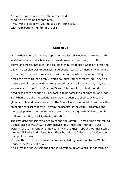"It's a bad case of rear-ache," the medico said, "And it's something I cannot repair. If you want to sit down, you must sit on your head, With your bottom high up in the air!"'

**9**

#### **Gobbled Up**

On the day when all this was happening, no factories opened anywhere in the world. All offices and schools were closed. Nobody moved away from the television screens, not even for a couple of minutes to get a Coke or to feed the baby. The tension was unbearable. Everybody heard the American President's invitation to the men from Mars to visit him in the White House. And they heard the weird rhyming reply, which sounded rather threatening. They also heard a piercing scream (Grandma Josephine), and a little later on, they heard someone shouting, 'Scram! Scram! Scram!' (Mr Wonka). Nobody could make head or tail of the shouting. They took it to be some kind of Martian language. But when the eight mysterious astronauts suddenly rushed back into their glass capsule and broke away from the Space Hotel, you could almost hear the great sigh of relief that rose up from the peoples of the earth. Telegrams and messages poured into the White House congratulating the President upon his brilliant handling of a frightening situation.

The President himself remained calm and thoughtful. He sat at his desk rolling a small piece of wet chewing-gum between his finger and thumb. He was waiting for the moment when he could flick it at Miss Tibbs without her seeing him. He flicked it and missed Miss Tibbs but hit the Chief of the Air Force on the tip of his nose.

'Do you think the men from Mars have accepted my invitation to the White House?' the President asked.

'Of course they have,' said the Foreign Secretary. 'It was a brilliant speech, sir.'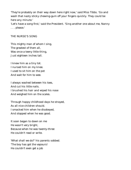'They're probably on their way down here right now,' said Miss Tibbs. 'Go and wash that nasty sticky chewing-gum off your fingers quickly. They could be here any minute.'

'Let's have a song first,' said the President. 'Sing another one about me, Nanny . . . please.'

#### THE NURSE'S SONG

This mighty man of whom I sing, The greatest of them all, Was once a teeny little thing, Just eighteen inches tall.

I knew him as a tiny tot. I nursed him on my knee. I used to sit him on the pot And wait for him to wee.

I always washed between his toes, And cut his little nails. I brushed his hair and wiped his nose And weighed him on the scales.

Through happy childhood days he strayed, As all nice children should. I smacked him when he disobeyed, And stopped when he was good.

It soon began to dawn on me He wasn't very bright, Because when he was twenty-three He couldn't read or write.

'What shall we do?' his parents sobbed. 'The boy has got the vapours! He couldn't even get a job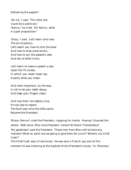Delivering the papers!'

'Ah-ha,' I said. 'This little clot Could be a politician.' 'Nanny,' he cried. 'Oh Nanny, what A super proposition!'

'Okay,' I said. 'Let's learn and note The art of politics. Let's teach you how to miss the boat And how to drop some bricks, And how to win the people's vote And lots of other tricks.

Let's learn to make a speech a day Upon the TV screen, In which you never never say Exactly what you mean.

And most important, by the way, Is not to let your teeth decay, And keep your fingers clean.'

And now that I am eighty-nine, It's too late to repent. The fault was mine the little swine Became the President.

'Bravo, Nanny!' cried the President, clapping his hands. 'Hooray!' shouted the others. 'Well done, Miss Vice-President, ma'am! Brilliant! Tremendous!'

'My goodness!' said the President. 'Those men from Mars will be here any moment! What on earth are we going to give them for lunch? Where's my Chief Cook?'

The Chief Cook was a Frenchman. He was also a French spy and at this moment he was listening at the keyhole of the President's study. 'Ici, Monsieur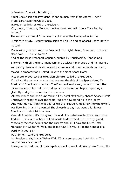le President!' he said, bursting in.

'Chief Cook,' said the President. 'What do men from Mars eat for lunch?' 'Mars Bars,' said the Chief Cook.

'Baked or boiled?' asked the President.

'Oh, baked, of course, Monsieur le President. You will ruin a Mars Bar by boiling!'

The voice of astronaut Shuckworth cut in over the loudspeaker in the President's study. 'Request permission to link up and go aboard Space Hotel?'

he said.

'Permission granted,' said the President. 'Go right ahead, Shuckworth. It's all clear now . . . Thanks to me.'

And so the large Transport Capsule, piloted by Shuckworth, Shanks and

Showler, with all the hotel managers and assistant managers and hall porters

and pastry chefs and bell-boys and waitresses and chambermaids on board,

moved in smoothly and linked up with the giant Space Hotel.

'Hey there! We've lost our television picture,' called the President.

'I'm afraid the camera got smashed against the side of the Space Hotel, Mr President,' Shuckworth replied. The President said a very rude word into the microphone and ten million children across the nation began repeating it gleefully and got smacked by their parents.

'All astronauts and one hundred and fifty hotel staff safely aboard Space Hotel!' Shuckworth reported over the radio. 'We are now standing in the lobby!' 'And what do you think of it all?' asked the President. He knew the whole world was listening in and he wanted Shuckworth to say how wonderful it was. Shuckworth didn't let him down.

'Gee, Mr President, it's just great!' he said. 'It's unbelievable! It's so enormous! And so . . . it's kind of hard to find words to describe it, it's so truly grand, especially the chandeliers and the carpets and all! I have the Chief Hotel Manager, Mr Walter W. Wall, beside me now. He would like the honour of a word with you, sir.'

'Put him on,' said the President.

'Mr President, sir, this is Walter Wall. What a sumptuous hotel this is! The decorations are superb!'

'Have you noticed that all the carpets are wall-to-wall, Mr Walter Wall?' said the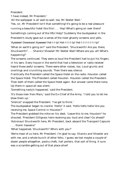President.

'I have indeed, Mr President.'

'All the wallpaper is all wall-to-wall, too, Mr Walter Wall.'

'Yes, sir, Mr President! Isn't that something! It's going to be a real pleasure running a beautiful hotel like this! . . . Hey! What's going on over there?

Something's coming out of the lifts! Help!' Suddenly the loudspeaker in the

President's study gave out a series of the most ghastly screams and yells.

'Ayeeeee! Owwwww! Ayeeeee! Hel-l-l-lp! Hel-l-l-l-l-lp! Hel-l-l-l-l-l-l-l-l-lp!'

'What on earth's going on?' said the President. 'Shuckworth! Are you there, Shuckworth? . . . Shanks! Showler! Mr Walter Wall! Where are you all! What's happening?'

The screams continued. They were so loud the President had to put his fingers in his ears. Every house in the world that had a television or radio receiver heard those awful screams. There were other noises, too. Loud grunts and snortings and crunching sounds. Then there was silence.

Frantically the President called the Space Hotel on the radio. Houston called the Space Hotel. The President called Houston. Houston called the President. Then both of them called the Space Hotel again. But answer came there none. Up there in space all was silent.

'Something nasty's happened,' said the President.

'It's those men from Mars,' said the Ex-Chief of the Army. 'I told you to let me blow them up.'

'Silence!' snapped the President. 'I've got to think.'

The loudspeaker began to crackle. 'Hello!' it said. 'Hello hello hello! Are you receiving me, Space Control in Houston?'

The President grabbed the mike on his desk. 'Leave this to me, Houston!' he shouted. 'President Gilligrass here receiving you loud and clear! Go ahead!' 'Astronaut Shuckworth here, Mr President, back aboard the Transport Capsule . . . thank heavens!'

'What happened, Shuckworth? Who's with you?'

'We're most of us here, Mr President, I'm glad to say. Shanks and Showler are with me, and a whole bunch of other folks. I guess we lost maybe a couple of dozen people altogether, pastry chefs, hall porters, that sort of thing. It sure was a scramble getting out of that place alive!'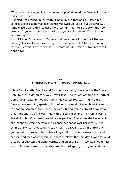'What do you mean you lost two dozen people?' shouted the President. 'How did you lose them?'

'Gobbled up!' replied Shuckworth. 'One gulp and that was it! I saw a big six-foot-tall assistant-manager being swallowed up just like you'd swallow a lump of ice-cream, Mr President! No chewing – nothing! Just down the hatch!' 'But who?' yelled the President. 'Who are you talking about? Who did the swallowing?'

'Hold it!' cried Shuckworth. 'Oh, my lord, here they all come now! They're coming after us! They're swarming out of the Space Hotel! They're coming out in swarms! You'll have to excuse me a moment, Mr President. No time to talk right now!'

# **10 Transport Capsule in Trouble – Attack No. 1**

While Shuckworth, Shanks and Showler were being chased out of the Space Hotel by the Knids, Mr Wonka's Great Glass Elevator was orbiting the Earth at tremendous speed. Mr Wonka had all his booster-rockets firing and the Elevator was reaching speeds of thirty-four thousand miles an hour instead of the normal seventeen thousand. They were trying, you see, to get away from that huge angry Vermicious Knid with the purple behind. Mr Wonka wasn't afraid of it, but Grandma Josephine was petrified. Every time she looked at it, she let out a piercing scream and clapped her hands over her eyes. But of course thirty-four thousand miles an hour is dawdling to a Knid. Healthy young Knids think nothing of travelling a million miles between lunch and supper, and then another million before breakfast the next day. How else could they travel between the planet Vermes and other stars? Mr Wonka should have known this and saved his rocket-power, but he kept right on going and the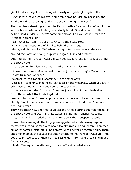giant Knid kept right on cruising effortlessly alongside, glaring into the

Elevator with its wicked red eye. 'You people have bruised my backside,' the

Knid seemed to be saying, 'and in the end I'm going to get you for that.'

They had been streaking around the Earth like this for about forty-five minutes when Charlie, who was floating comfortably beside Grandpa Joe near the ceiling, said suddenly, 'There's something ahead! Can you see it, Grandpa? Straight in front of us!'

'I can, Charlie, I can . . . Good heavens, it's the Space Hotel!'

'It can't be, Grandpa. We left it miles behind us long ago.'

'Ah-ha,' said Mr Wonka. 'We've been going so fast we've gone all the way

around the Earth and caught up with it again! A splendid effort!'

'And there's the Transport Capsule! Can you see it, Grandpa? It's just behind the Space Hotel!'

'There's something else there, too, Charlie, if I'm not mistaken!'

'I know what those are!' screamed Grandma Josephine. 'They're Vermicious Knids! Turn back at once!'

'Reverse!' yelled Grandma Georgina. 'Go the other way!'

'Dear lady,' said Mr Wonka. 'This isn't a car on the motorway. When you are in orbit, you cannot stop and you cannot go backwards.'

'I don't care about that!' shouted Grandma Josephine. 'Put on the brakes! Stop! Back-pedal! The Knids'll get us!'

'Now let's for heaven's sake stop this nonsense once and for all,' Mr Wonka said sternly. 'You know very well my Elevator is completely Knidproof. You have nothing to fear.'

They were closer now and they could see the Knids pouring out from the tail of the Space Hotel and swarming like wasps around the Transport Capsule. 'They're attacking it!' cried Charlie. 'They're after the Transport Capsule!'

It was a fearsome sight. The huge green egg-shaped Knids were grouping themselves into squadrons with about twenty Knids to a squadron. Then each squadron formed itself into a line abreast, with one yard between Knids. Then, one after another, the squadrons began attacking the Transport Capsule. They attacked in reverse with their pointed rear-ends in front and they came in at a fantastic speed.

WHAM! One squadron attacked, bounced off and wheeled away.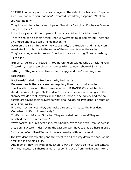CRASH! Another squadron smashed against the side of the Transport Capsule. 'Get us out of here, you madman!' screamed Grandma Josephine. 'What are you waiting for?'

'They'll be coming after us next!' yelled Grandma Georgina. 'For heaven's sake, man, turn back!'

'I doubt very much if that capsule of theirs is Knidproof,' said Mr Wonka.

'Then we must help them!' cried Charlie. 'We've got to do something! There are a hundred and fifty people inside that thing!'

Down on the Earth, in the White House study, the President and his advisers were listening in horror to the voices of the astronauts over the radio.

'They're coming at us in droves!' Shuckworth was shouting. 'They're bashing us to bits!'

'But who?' yelled the President. 'You haven't even told us who's attacking you!' 'These dirty great greenish-brown brutes with red eyes!' shouted Shanks,

butting in. 'They're shaped like enormous eggs and they're coming at us backwards!'

'Backwards?' cried the President. 'Why backwards?'

'Because their bottoms are even more pointy than their tops!' shouted Shuckworth. 'Look out! Here comes another lot!' BANG! 'We won't be able to stand this much longer, Mr President! The waitresses are screaming and the chambermaids are all hysterical and the bell-boys are being sick and the hall porters are saying their prayers so what shall we do, Mr President, sir, what on earth shall we do?'

'Fire your rockets, you idiot, and make a re-entry!' shouted the President. 'Come back to Earth immediately!'

'That's impossible!' cried Showler. 'They've busted our rockets! They've smashed them to smithereens!'

'We're cooked, Mr President!' shouted Shanks. 'We're done for! Because even if

they don't succeed in destroying the capsule, we'll have to stay up here in orbit

for the rest of our lives! We can't make a re-entry without rockets!'

The President was sweating and the sweat ran all the way down the back of his neck and inside his collar.

'Any moment now, Mr President,' Shanks went on, 'we're going to lose contact with you altogether! There's another lot coming at us from the left and they're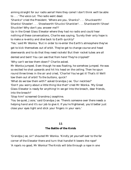aiming straight for our radio aerial! Here they come! I don't think we'll be able to . . .' The voice cut. The radio went dead.

'Shanks!' cried the President. 'Where are you, Shanks? . . . Shuckworth! Shanks! Showler! . . . Showlworth! Shucks! Shankler! . . . Shankworth! Show! Shuckler! Why don't you answer me?!'

Up in the Great Glass Elevator where they had no radio and could hear nothing of these conversations, Charlie was saying, 'Surely their only hope is to make a re-entry and dive back to Earth quickly!'

'Yes,' said Mr Wonka. 'But in order to re-enter the Earth's atmosphere they've got to kick themselves out of orbit. They've got to change course and head

downwards and to do that they need rockets! But their rocket tubes are all

dented and bent! You can see that from here! They're crippled!'

'Why can't we tow them down?' Charlie asked.

Mr Wonka jumped. Even though he was floating, he somehow jumped. He was so excited he shot upwards and hit his head on the ceiling. Then he spun round three times in the air and cried, 'Charlie! You've got it! That's it! We'll tow them out of orbit! To the buttons, quick!'

'What do we tow them with?' asked Grandpa Joe. 'Our neckties?'

'Don't you worry about a little thing like that!' cried Mr Wonka. 'My Great Glass Elevator is ready for anything! In we go! Into the breach, dear friends, into the breach!'

'Stop him!' screamed Grandma Josephine.

'You be quiet, Josie,' said Grandpa Joe. 'There's someone over there needs a helping hand and it's our job to give it. If you're frightened, you'd better just close your eyes tight and stick your fingers in your ears.'

**11**

# **The Battle of the Knids**

'Grandpa Joe, sir!' shouted Mr Wonka. 'Kindly jet yourself over to the far corner of the Elevator there and turn that handle! It lowers the rope!' 'A rope's no good, Mr Wonka! The Knids will bite through a rope in one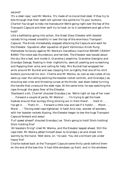second!'

'It's a steel rope,' said Mr Wonka. 'It's made of re-inscorched steel. If they try to bite through that their teeth will splinter like spillikins! To your buttons, Charlie! You've got to help me manoeuvre! We're going right over the top of the Transport Capsule and then we'll try to hook on to it somewhere and get a firm hold!'

Like a battleship going into action, the Great Glass Elevator with booster rockets firing moved smoothly in over the top of the enormous Transport Capsule. The Knids immediately stopped attacking the Capsule and went for the Elevator. Squadron after squadron of giant Vermicious Knids flung themselves furiously against Mr Wonka's marvellous machine! WHAM! CRASH! BANG! The noise was thunderous and terrible. The Elevator was tossed about the sky like a leaf, and inside it, Grandma Josephine, Grandma Georgina and Grandpa George, floating in their nightshirts, were all yowling and screeching and flapping their arms and calling for help. Mrs Bucket had wrapped her arms around Mr Bucket and was clasping him so tightly that one of his shirt buttons punctured his skin. Charlie and Mr Wonka, as cool as two cubes of ice, were up near the ceiling working the booster-rocket controls, and Grandpa Joe, shouting war-cries and throwing curses at the Knids, was down below turning the handle that unwound the steel rope. At the same time, he was watching the rope through the glass floor of the Elevator.

'Starboard a bit, Charlie!' shouted Grandpa Joe. 'We're right on top of her now! . . . Forward a couple of yards, Mr Wonka! . . . I'm trying to get the hook hooked around that stumpy thing sticking out in front there! . . . Hold it! . . . I've got it . . . That's it! . . . Forward a little now and see if it holds! . . . More! . . . More! . . .' The big steel rope tightened. It held! And now, wonder of wonders, with her booster-rockets blazing, the Elevator began to tow the huge Transport Capsule forward and away!

'Full speed ahead!' shouted Grandpa Joe. 'She's going to hold! She's holding! She's holding fine!'

'All boosters firing!' cried Mr Wonka, and the Elevator leaped ahead. Still the rope held. Mr Wonka jetted himself down to Grandpa Joe and shook him warmly by the hand. 'Well done, sir,' he said. 'You did a brilliant job under heavy fire!'

Charlie looked back at the Transport Capsule some thirty yards behind them on the end of the tow-line. It had little windows up front, and in the windows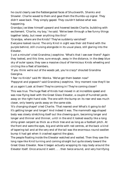he could clearly see the flabbergasted faces of Shuckworth, Shanks and Showler. Charlie waved to them and gave them the thumbs-up signal. They didn't wave back. They simply gaped. They couldn't believe what was happening.

Grandpa Joe blew himself upward and hovered beside Charlie, bubbling with excitement. 'Charlie, my boy,' he said. 'We've been through a few funny things together lately, but never anything like this!'

'Grandpa, where are the Knids? They've suddenly vanished!'

Everyone looked round. The only Knid in sight was their old friend with the purple behind, still cruising alongside in its usual place, still glaring into the Elevator.

'Just a minute!' cried Grandma Josephine. 'What's that I see over there?' Again they looked, and this time, sure enough, away in the distance, in the deep blue sky of outer space, they saw a massive cloud of Vermicious Knids wheeling and circling like a fleet of bombers.

'If you think we're out of the woods yet, you're crazy!' shouted Grandma Georgina.

'I fear no Knids!' said Mr Wonka. 'We've got them beaten now!'

'Poppyrot and pigwash!' said Grandma Josephine. 'Any moment now they'll be at us again! Look at them! They're coming in! They're coming closer!'

This was true. The huge fleet of Knids had moved in at incredible speed and was now flying level with the Great Glass Elevator, a couple of hundred yards away on the right-hand side. The one with the bump on its rear-end was much closer, only twenty yards away on the same side.

'It's changing shape!' cried Charlie. 'That nearest one! What's it going to do? It's getting longer and longer!' And indeed it was. The mammoth egg-shaped body was slowly stretching itself out like chewing-gum, becoming longer and longer and thinner and thinner, until in the end it looked exactly like a long slimy-green serpent as thick as a thick tree and as long as a football pitch. At the front end were the eyes, big and white with red centres, at the back a kind of tapering tail and at the very end of the tail was the enormous round swollen bump it had got when it crashed against the glass.

The people floating inside the Elevator watched and waited. Then they saw the long rope-like Knid turning and coming straight but quite slowly toward the Great Glass Elevator. Now it began actually wrapping its ropy body around the Elevator itself. Once around it went . . . then twice around, and very horrifying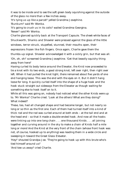it was to be inside and to see the soft green body squishing against the outside of the glass no more than a few inches away.

'It's tying us up like a parcel!' yelled Grandma Josephine.

'Bunkum!' said Mr Wonka.

'It's going to crush us in its coils!' wailed Grandma Georgina. 'Never!' said Mr Wonka.

Charlie glanced quickly back at the Transport Capsule. The sheet-white faces of Shuckworth, Shanks and Showler were pressed against the glass of the little windows, terror-struck, stupefied, stunned, their mouths open, their expressions frozen like fish fingers. Once again, Charlie gave them the thumbs-up signal. Showler acknowledged it with a sickly grin, but that was all.

'Oh, oh, oh!' screamed Grandma Josephine. 'Get that beastly squishy thing away from here!'

Having curled its body twice around the Elevator, the Knid now proceeded to tie a knot with its two ends, a good strong knot, left over right, then right over left. When it had pulled the knot tight, there remained about five yards of one end hanging loose. This was the end with the eyes on it. But it didn't hang loose for long. It quickly curled itself into the shape of a huge hook and the hook stuck straight out sideways from the Elevator as though waiting for something else to hook itself on to it.

While all this was going on, nobody had noticed what the other Knids were up to. 'Mr Wonka!' Charlie cried. 'Look at the others! What are they doing?' What indeed?

These, too, had all changed shape and had become longer, but not nearly so long or so thin as the first one. Each of them had turned itself into a kind of thick rod and the rod was curled around at both ends – at the tail end and at the head end – so that it made a double-ended hook. And now all the hooks were linking up into one long chain . . . one thousand Knids . . . all joining together and curving around in the sky to make a chain of Knids half a mile long or more! And the Knid at the very front of the chain (whose front hook was not, of course, hooked up to anything) was leading them in a wide circle and sweeping in toward the Great Glass Elevator.

'Hey!' shouted Grandpa Joe. 'They're going to hook up with this brute who's tied himself around us!'

'And tow us away!' cried Charlie.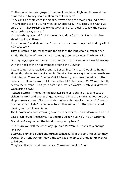'To the planet Vermes,' gasped Grandma Josephine. 'Eighteen thousand four hundred and twenty-seven million miles from here!'

'They can't do that!' cried Mr Wonka. 'We're doing the towing around here!' 'They're going to link up, Mr Wonka!' Charlie said. 'They really are! Can't we stop them? They're going to tow us away and they're going to tow the people we're towing away as well!'

'Do something, you old fool!' shrieked Grandma Georgina. 'Don't just float about looking at them!'

'I must admit,' said Mr Wonka, 'that for the first time in my life I find myself at a bit of a loss.'

They all stared in horror through the glass at the long chain of Vermicious Knids. The leader of the chain was coming closer and closer. The hook, with two big angry eyes on it, was out and ready. In thirty seconds it would link up with the hook of the Knid wrapped around the Elevator.

'I want to go home!' wailed Grandma Josephine. 'Why can't we all go home?' 'Great thundering tomcats!' cried Mr Wonka. 'Home is right! What on earth am I thinking of! Come on, Charlie! Quick! Re-entry! You take the yellow button! Press it for all you're worth! I'll handle this lot!' Charlie and Mr Wonka literally flew to the buttons. 'Hold your hats!' shouted Mr Wonka. 'Grab your gizzards! We're going down!'

Rockets started firing out of the Elevator from all sides. It tilted and gave a sickening lurch and then plunged downward into the Earth's atmosphere at a simply colossal speed. 'Retro-rockets!' bellowed Mr Wonka. 'I mustn't forget to fire the retro-rockets!' He flew over to another series of buttons and started playing on them like a piano.

The Elevator was now streaking downward head first, upside down, and all the passengers found themselves floating upside down as well. 'Help!' screamed

Grandma Georgina. 'All the blood's going to my head!'

'Then turn yourself the other way up,' said Mr Wonka. 'That's easy enough, isn't it?'

Everyone blew and puffed and turned somersaults in the air until at last they were all the right way up. 'How's the tow-rope holding, Grandpa?' Mr Wonka called out.

'They're still with us, Mr Wonka, sir! The rope's holding fine!'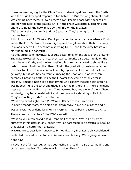It was an amazing sight – the Glass Elevator streaking down toward the Earth with the huge Transport Capsule in tow behind it. But the long chain of Knids was coming after them, following them down, keeping pace with them easily, and now the hook of the leading Knid in the chain was actually reaching out and grasping for the hook made by the Knid on the Elevator! 'We're too late!' screamed Grandma Georgina. 'They're going to link up and

haul us back!'

'I think not,' said Mr Wonka. 'Don't you remember what happens when a Knid enters the Earth's atmosphere at high speed? He gets red-hot. He burns away in a long fiery trail. He becomes a shooting Knid. Soon these dirty beasts will start popping like popcorn!'

As they streaked on downward, sparks began to fly off the sides of the Elevator. The glass glowed pink, then red, then scarlet. Sparks also began to fly on the long chain of Knids, and the leading Knid in the chain started to shine like a red-hot poker. So did all the others. So did the great slimy brute coiled around the Elevator itself. This one, in fact, was trying frantically to uncoil itself and get away, but it was having trouble untying the knot, and in another ten seconds it began to sizzle. Inside the Elevator they could actually hear it sizzling. It made a noise like bacon frying. And exactly the same sort of thing was happening to the other one thousand Knids in the chain. The tremendous heat was simply sizzling them up. They were red-hot, every one of them. Then suddenly, they became white-hot and they gave out a dazzling white light. 'They're shooting Knids!' cried Charlie.

'What a splendid sight,' said Mr Wonka. 'It's better than fireworks.' In a few seconds more, the Knids had blown away in a cloud of ashes and it was all over. 'We've done it!' cried Mr Wonka. 'They've been roasted to a crisp! They've been frizzled to a fritter! We're saved!'

'What do you mean saved?' said Grandma Josephine. 'We'll all be frizzled ourselves if this goes on any longer! We'll be barbecued like beefsteaks! Look at that glass! It's hotter than a fizzgig!'

'Have no fears, dear lady,' answered Mr Wonka. 'My Elevator is air-conditioned, ventilated, aerated and automated in every possible way. We're going to be all right now.'

'I haven't the faintest idea what's been going on,' said Mrs Bucket, making one of her rare speeches. 'But whatever it is, I don't like it.'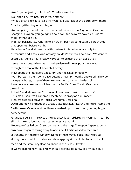'Aren't you enjoying it, Mother?' Charlie asked her.

'No,' she said. 'I'm not. Nor is your father.'

'What a great sight it is!' said Mr Wonka. 'Just look at the Earth down there,

Charlie, getting bigger and bigger!'

'And us going to meet it at two thousand miles an hour!' groaned Grandma Georgina. 'How are you going to slow down, for heaven's sake? You didn't think of that, did you!'

'He's got parachutes,' Charlie told her. 'I'll bet he's got great big parachutes that open just before we hit.'

'Parachutes!' said Mr Wonka with contempt. 'Parachutes are only for astronauts and sissies! And anyway, we don't want to slow down. We want to speed up. I've told you already we've got to be going at an absolutely

tremendous speed when we hit. Otherwise we'll never punch our way in

through the roof of the Chocolate Factory.'

'How about the Transport Capsule?' Charlie asked anxiously. 'We'll be letting them go in a few seconds now,' Mr Wonka answered. 'They do have parachutes, three of them, to slow them down on the last bit.' 'How do you know we won't land in the Pacific Ocean?' said Grandma Josephine.

'I don't,' said Mr Wonka. 'But we all know how to swim, do we not?' 'This man,' shouted Grandma Josephine, 'is crazy as a crumpet!' 'He's cracked as a crayfish!' cried Grandma Georgina.

Down and down plunged the Great Glass Elevator. Nearer and nearer came the Earth below. Oceans and continents rushed up to meet them, getting bigger every second . . .

'Grandpa Joe, sir! Throw out the rope! Let it go!' ordered Mr Wonka. 'They'll be all right now so long as their parachutes are working.'

'Rope gone!' called out Grandpa Joe, and the huge Transport Capsule, on its own now, began to swing away to one side. Charlie waved to the three

astronauts in the front window. None of them waved back. They were still sitting there in a kind of shocked daze, gaping at the old ladies and the old

men and the small boy floating about in the Glass Elevator.

'It won't be long now,' said Mr Wonka, reaching for a row of tiny pale blue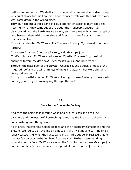buttons in one corner. 'We shall soon know whether we are alive or dead. Keep very quiet please for this final bit. I have to concentrate awfully hard, otherwise we'll come down in the wrong place.'

They plunged into a thick bank of cloud and for ten seconds they could see nothing. When they came out of the cloud, the Transport Capsule had disappeared, and the Earth was very close, and there was only a great spread of land beneath them with mountains and forests . . . then fields and trees . . . then a small town.

'There it is!' shouted Mr Wonka. 'My Chocolate Factory! My beloved Chocolate Factory!'

'You mean Charlie's Chocolate Factory,' said Grandpa Joe.

'That's right!' said Mr Wonka, addressing Charlie. 'I'd clean forgotten! I do

apologize to you, my dear boy! Of course it's yours! And here we go!'

Through the glass floor of the Elevator, Charlie caught a quick glimpse of the huge red roof and the tall chimneys of the giant factory. They were plunging straight down on to it.

'Hold your breath!' shouted Mr Wonka. 'Hold your nose! Fasten your seat-belts and say your prayers! We're going through the roof!'

#### **12**

## **Back to the Chocolate Factory**

And then the noise of splintering wood and broken glass and absolute darkness and the most awful crunching sounds as the Elevator rushed on and on, smashing everything before it.

All at once, the crashing noises stopped and the ride became smoother and the Elevator seemed to be travelling on guides or rails, twisting and turning like a roller-coaster. And when the lights came on, Charlie suddenly realized that for the last few seconds he hadn't been floating at all. He had been standing normally on the floor. Mr Wonka was on the floor, too, and so was Grandpa Joe and Mr and Mrs Bucket and also the big bed. As for Grandma Josephine,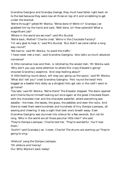Grandma Georgina and Grandpa George, they must have fallen right back on to the bed because they were now all three on top of it and scrabbling to get under the blanket.

'We're through!' yelled Mr Wonka. 'We've done it! We're in!' Grandpa Joe grabbed him by the hand and said, 'Well done, sir! How splendid! What a magnificent job!'

'Where in the world are we now?' said Mrs Bucket.

'We're back, Mother!' Charlie cried. 'We're in the Chocolate Factory!' 'I'm very glad to hear it,' said Mrs Bucket. 'But didn't we come rather a long way round?'

'We had to,' said Mr Wonka, 'to avoid the traffic.'

'I have never met a man,' said Grandma Georgina, 'who talks so much absolute nonsense!'

'A little nonsense now and then, is relished by the wisest men,' Mr Wonka said. 'Why don't you pay some attention to where this crazy Elevator's going!' shouted Grandma Josephine. 'And stop footling about!'

'A little footling round about, will stop you going up the spout,' said Mr Wonka. 'What did I tell you!' cried Grandma Georgina. 'He's round the twist! He's bogged as a beetle! He's dotty as a dingbat! He's got rats in the roof! I want to go home!'

'Too late,' said Mr Wonka. 'We're there!' The Elevator stopped. The doors opened and Charlie found himself looking out once again at the great Chocolate Room with the chocolate river and the chocolate waterfall, where everything was eatable – the trees, the leaves, the grass, the pebbles and even the rocks. And there to meet them were hundreds and hundreds of tiny Oompa-Loompas, all waving and cheering. It was a sight that took one's breath away. Even Grandma Georgina was stunned into silence for a few seconds. But not for long. 'Who in the world are all those peculiar little men?' she said. 'They're Oompa-Loompas,' Charlie told her. 'They're wonderful. You'll love them.'

'Ssshh!' said Grandpa Joe. 'Listen, Charlie! The drums are starting up! They're going to sing.'

'Alleluia!' sang the Oompa-Loompas. 'Oh alleluia and hooray! Our Willy Wonka's back today!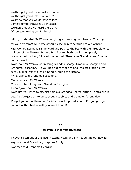We thought you'd never make it home! We thought you'd left us all alone! We knew that you would have to face Some frightful creatures up in space. We even thought we heard the crunch Of someone eating you for lunch . . .'

'All right!' shouted Mr Wonka, laughing and raising both hands. 'Thank you for your welcome! Will some of you please help to get this bed out of here!'

Fifty Oompa-Loompas ran forward and pushed the bed with the three old ones in it out of the Elevator. Mr and Mrs Bucket, both looking completely overwhelmed by it all, followed the bed out. Then came Grandpa Joe, Charlie and Mr Wonka.

'Now,' said Mr Wonka, addressing Grandpa George, Grandma Georgina and Grandma Josephine. 'Up you hop out of that bed and let's get cracking. I'm sure you'll all want to lend a hand running the factory.'

'Who, us?' said Grandma Josephine.

'Yes, you,' said Mr Wonka.

'You must be joking,' said Grandma Georgina.

'I never joke,' said Mr Wonka.

'Now just you listen to me, sir!' said old Grandpa George, sitting up straight in bed. 'You've got us into quite enough tubbles and trumbles for one day!'

'I've got you out of them, too,' said Mr Wonka proudly. 'And I'm going to get you out of that bed as well, you see if I don't!'

**13**

## **How Wonka-Vite Was Invented**

'I haven't been out of this bed in twenty years and I'm not getting out now for anybody!' said Grandma Josephine firmly.

'Nor me,' said Grandma Georgina.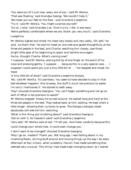'You were out of it just now, every one of you,' said Mr Wonka.

'That was floating,' said Grandpa George. 'We couldn't help it.'

'We never put our feet on the floor,' said Grandma Josephine.

'Try it,' said Mr Wonka. 'You might surprise yourself.'

'Go on, Josie,' said Grandpa Joe. 'Give it a try. I did. It was easy.'

'We're perfectly comfortable where we are, thank you very much,' said Grandma Josephine.

Mr Wonka sighed and shook his head very slowly and very sadly. 'Oh well,' he said, 'so that's that.' He laid his head on one side and gazed thoughtfully at the three old people in the bed, and Charlie, watching him closely, saw those bright little eyes of his beginning to spark and twinkle once again.

Ha-ha, thought Charlie. What's coming now?

'I suppose,' said Mr Wonka, placing the tip of one finger on the point of his nose and pressing gently, 'I suppose . . . because this is a very special case . . . I suppose I could spare you just a tiny little bit of . . .' He stopped and shook his head.

'A tiny little bit of what?' said Grandma Josephine sharply.

'No,' said Mr Wonka. 'It's pointless. You seem to have decided to stay in that bed whatever happens. And anyway, the stuff is much too precious to waste. I'm sorry I mentioned it.' He started to walk away.

'Hey!' shouted Grandma Georgina. 'You can't begin something and not go on with it! What is too precious to waste?'

Mr Wonka stopped. Slowly he turned around. He looked long and hard at the three old people in the bed. They looked back at him, waiting. He kept silent a little longer, allowing their curiosity to grow. The Oompa-Loompas stood absolutely still behind him, watching.

'What is this thing you're talking about?' said Grandma Georgina.

'Get on with it, for heaven's sake!' said Grandma Josephine.

'Very well,' Mr Wonka said at last. 'I'll tell you. And listen carefully because this could change your whole lives. It could even change you.'

'I don't want to be changed!' shouted Grandma Georgina.

'May I go on, madam? Thank you. Not long ago, I was fooling about in my Inventing Room, stirring stuff around and mixing things up the way I do every afternoon at four o'clock, when suddenly I found I had made something that seemed very unusual. This thing I had made kept changing colour as I looked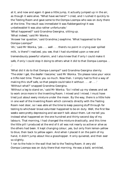at it, and now and again it gave a little jump, it actually jumped up in the air, as though it were alive. "What have we here?" I cried, and I rushed it quickly to the Testing Room and gave some to the Oompa-Loompa who was on duty there at the time. The result was immediate! It was flabbergasting! It was unbelievable! It was also rather unfortunate.'

'What happened?' said Grandma Georgina, sitting up.

'What indeed,' said Mr Wonka.

.'

'Answer her question,' said Grandma Josephine. 'What happened to the Oompa-Loompa?'

'Ah,' said Mr Wonka, 'yes . . . well . . . there's no point in crying over spilled milk, is there? I realized, you see, that I had stumbled upon a new and tremendously powerful vitamin, and I also knew that if only I could make it safe, if only I could stop it doing to others what it did to that Oompa-Loompa . .

'What did it do to that Oompa-Loompa?' said Grandma Georgina sternly. 'The older I get, the deafer I become,' said Mr Wonka. 'Do please raise your voice a trifle next time. Thank you so much. Now then. I simply had to find a way of making this stuff safe, so that people could take it without . . . er . . .' 'Without what?' snapped Grandma Georgina.

'Without a leg to stand on,' said Mr Wonka. 'So I rolled up my sleeves and set to work once more in the Inventing Room. I mixed and I mixed. I must have tried just about every mixture under the moon. By the way, there is a little hole in one wall of the Inventing Room which connects directly with the Testing Room next door, so I was able all the time to keep passing stuff through for testing to whichever brave volunteer happened to be on duty. Well, the first few weeks were pretty depressing and we won't talk about them. Let me tell you instead what happened on the one hundred and thirty-second day of my labours. That morning, I had changed the mixture drastically, and this time the little pill I produced at the end of it all was not nearly so active or alive as the others had been. It kept changing colour, yes, but only from lemon-yellow to blue, then back to yellow again. And when I placed it on the palm of my hand, it didn't jump about like a grasshopper. It only quivered, and then ever so slightly.

'I ran to the hole in the wall that led to the Testing Room. A very old Oompa-Loompa was on duty there that morning. He was a bald, wrinkled,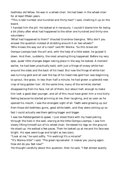toothless old fellow. He was in a wheel-chair. He had been in the wheel-chair for at least fifteen years.

'"This is test number one hundred and thirty-two!" I said, chalking it up on the board.

'I handed him the pill. He looked at it nervously. I couldn't blame him for being a bit jittery after what had happened to the other one hundred and thirty-one volunteers.'

'What had happened to them?' shouted Grandma Georgina. 'Why don't you answer the question instead of skidding around it on two wheels?' 'Who knows the way out of a rose?' said Mr Wonka. 'So this brave old Oompa-Loompa took the pill and, with the help of a little water, he gulped it down. And then, suddenly, the most amazing thing happened. Before my very eyes, queer little changes began taking place in the way he looked. A moment earlier, he had been practically bald, with just a fringe of snowy white hair around the sides and the back of his head. But now the fringe of white hair was turning gold and all over the top of his head new gold hair was beginning to sprout, like grass. In less than half a minute, he had grown a splendid new crop of long golden hair. At the same time, many of the wrinkles started disappearing from his face, not all of them, but about half, enough to make him look a good deal younger, and all of this must have given him a nice tickly feeling because he started grinning at me, then laughing, and as soon as he opened his mouth, I saw the strangest sight of all. Teeth were growing up out from those old toothless gums, good white teeth, and they were coming up so fast I could actually see them getting bigger and bigger.

'I was too flabbergasted to speak. I just stood there with my head poking through the hole in the wall, staring at the little Oompa-Loompa. I saw him slowly lifting himself out of his wheel-chair. He tested his legs on the ground. He stood up. He walked a few paces. Then he looked up at me and his face was bright. His eyes were huge and bright as two stars.

'"Look at me," he said softly. "I'm walking! It's a miracle!"

'"It's Wonka-Vite!" I said. "The great rejuvenator. It makes you young again. How old do you feel now?"

'He thought carefully about this question, then he said, "I feel almost exactly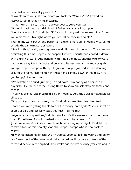how I felt when I was fifty years old."

'"How old were you just now, before you took the Wonka-Vite?" I asked him.

'"Seventy last birthday," he answered.

'"That means," I said, "it has made you twenty years younger."

'"It has, it has!" he cried, delighted. "I feel as frisky as a froghopper!"

'"Not frisky enough," I told him. "Fifty is still pretty old. Let us see if I can't help you a bit more. Stay right where you are. I'll be back in a twink."

'I ran to my work-bench and began to make one more pill of Wonka-Vite, using exactly the same mixture as before.

'"Swallow this," I said, passing the second pill through the hatch. There was no hesitating this time. Eagerly, he popped it into his mouth and chased it down with a drink of water. And behold, within half a minute, another twenty years had fallen away from his face and body and he was now a slim and sprightly young Oompa-Loompa of thirty. He gave a whoop of joy and started dancing around the room, leaping high in the air and coming down on his toes. "Are you happy?" I asked him.

'"I'm ecstatic!" he cried, jumping up and down. "I'm happy as a horse in a hay-field!" He ran out of the Testing Room to show himself off to his family and friends.

'Thus was Wonka-Vite invented!' said Mr Wonka. 'And thus was it made safe for all to use!'

'Why don't you use it yourself, then?' said Grandma Georgina. 'You told Charlie you were getting too old to run the factory, so why don't you just take a couple of pills and get forty years younger? Tell me that?'

'Anyone can ask questions,' said Mr Wonka. 'It's the answers that count. Now then, if the three of you in the bed would care to try a dose . . .'

'Just one minute!' said Grandma Josephine, sitting up straight. 'First I'd like to take a look at this seventy-year-old Oompa-Loompa who is now back to thirty!'

Mr Wonka flicked his fingers. A tiny Oompa-Loompa, looking young and perky, ran forward out of the crowd and did a marvellous little dance in front of the three old people in the big bed. 'Two weeks ago, he was seventy years old and in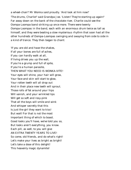a wheel-chair!' Mr Wonka said proudly. 'And look at him now!' 'The drums, Charlie!' said Grandpa Joe. 'Listen! They're starting up again!' Far away down on the bank of the chocolate river, Charlie could see the Oompa-Loompa band striking up once more. There were twenty Oompa-Loompas in the band, each with an enormous drum twice as tall as himself, and they were beating a slow mysterious rhythm that soon had all the other hundreds of Oompa-Loompas swinging and swaying from side to side in a kind of trance. They then began to chant:

'If you are old and have the shakes, If all your bones are full of aches, If you can hardly walk at all, If living drives you up the wall, If you're a grump and full of spite, If you're a human parasite, THEN WHAT YOU NEED IS WONKA-VITE! Your eyes will shine, your hair will grow, Your face and skin will start to glow, Your rotten teeth will all drop out And in their place new teeth will sprout. Those rolls of fat around your hips Will vanish, and your wrinkled lips Will get so soft and rosy-pink That all the boys will smile and wink And whisper secretly that this Is just the girl they want to kiss! But wait! For that is not the most Important thing of which to boast. Good looks you'll have, we've told you so, But looks aren't everything, you know. Each pill, as well, to you will give AN EXTRA TWENTY YEARS TO LIVE! So come, old friends, and do what's right! Let's make your lives as bright as bright! Let's take a dose of this delight! This heavenly magic dynamite!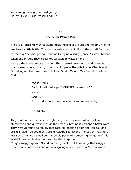# You can't go wrong, you must go right! IT'S WILLY WONKA'S WONKA-VITE!'

**14**

# **Recipe for Wonka-Vite**

'Here it is!' cried Mr Wonka, standing at the end of the bed and holding high in one hand a little bottle. 'The most valuable bottle of pills in the world! And that, by the way,' he said, giving Grandma Georgina a saucy glance, 'is why I haven't taken any myself. They are far too valuable to waste on me.'

He held the bottle out over the bed. The three old ones sat up and stretched their scrawny necks, trying to catch a glimpse of the pills inside. Charlie and Grandpa Joe also came forward to look. So did Mr and Mrs Bucket. The label said:

| WONKA-VITE                                      |
|-------------------------------------------------|
| Each pill will make you YOUNGER by exactly 20   |
| vears                                           |
| CAUTION!                                        |
| Do not take more than the amount recommended by |
|                                                 |
| Mr. Wonka                                       |
|                                                 |

They could all see the pills through the glass. They were brilliant yellow, shimmering and quivering inside the bottle. Vibrating is perhaps a better word. They were vibrating so rapidly that each pill became a blur and you couldn't see its shape. You could only see its colour. You got the impression that there was something very small but incredibly powerful, something not quite of this world, locked up inside them and fighting to get out.

'They're wriggling,' said Grandma Georgina. 'I don't like things that wriggle. How do we know they won't go on wriggling inside us after we've swallowed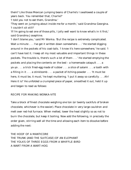them? Like those Mexican jumping beans of Charlie's I swallowed a couple of years back. You remember that, Charlie?'

'I told you not to eat them, Grandma.'

'They went on jumping about inside me for a month,' said Grandma Georgina. 'I couldn't sit still!'

'If I'm going to eat one of those pills, I jolly well want to know what's in it first,' said Grandma Josephine.

'I don't blame you,' said Mr Wonka. 'But the recipe is extremely complicated. Wait a minute . . . I've got it written down somewhere . . .' He started digging around in the pockets of his coat-tails. 'I know it's here somewhere,' he said. 'I can't have lost it. I keep all my most valuable and important things in these pockets. The trouble is, there's such a lot of them . . .' He started emptying the pockets and placing the contents on the bed – a homemade catapult . . . a yo-yo . . . a trick fried-egg made of rubber . . . a slice of salami . . . a tooth with a filling in it . . . a stinkbomb . . . a packet of itching-powder . . . 'It must be here, it must be, it must, he kept muttering. 'I put it away so carefully . . . Ah! Here it is!' He unfolded a crumpled piece of paper, smoothed it out, held it up and began to read as follows:

#### RECIPE FOR MAKING WONKA-VITE

Take a block of finest chocolate weighing one ton (or twenty sackfuls of broken chocolate, whichever is the easier). Place chocolate in very large cauldron and melt over red-hot furnace. When melted, lower the heat slightly so as not to burn the chocolate, but keep it boiling. Now add the following, in precisely the order given, stirring well all the time and allowing each item to dissolve before adding the next:

THE HOOF OF A MANTICORE THE TRUNK (AND THE SUITCASE) OF AN ELEPHANT THE YOLKS OF THREE EGGS FROM A WHIFFLE-BIRD A WART FROM A WART-HOG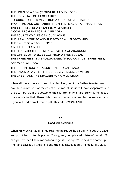THE HORN OF A COW (IT MUST BE A LOUD HORN) THE FRONT TAIL OF A COCKATRICE SIX OUNCES OF SPRUNGE FROM A YOUNG SLIMESCRAPER TWO HAIRS (AND ONE RABBIT) FROM THE HEAD OF A HIPPOCAMPUS THE BEAK OF A RED-BREASTED WILBATROSS A CORN FROM THE TOE OF A UNICORN THE FOUR TENTACLES OF A QUADROPUS THE HIP (AND THE PO AND THE POT) OF A HIPPOPOTAMUS THE SNOUT OF A PROGHOPPER A MOLE FROM A MOLE THE HIDE (AND THE SEEK) OF A SPOTTED WHANGDOODLE THE WHITES OF TWELVE EGGS FROM A TREE-SQUEAK THE THREE FEET OF A SNOZZWANGER (IF YOU CAN'T GET THREE FEET, ONE YARD WILL DO) THE SQUARE-ROOT OF A SOUTH AMERICAN ABACUS THE FANGS OF A VIPER (IT MUST BE A VINDSCREEN VIPER) THE CHEST (AND THE DRAWERS) OF A WILD GROUT

When all the above are thoroughly dissolved, boil for a further twenty-seven days but do not stir. At the end of this time, all liquid will have evaporated and there will be left in the bottom of the cauldron only a hard brown lump about the size of a football. Break this open with a hammer and in the very centre of it you will find a small round pill. This pill is WONKA-VITE.

**15**

#### **Good-bye Georgina**

When Mr Wonka had finished reading the recipe, he carefully folded the paper and put it back into his pocket. 'A very, very complicated mixture,' he said. 'So can you wonder it took me so long to get it just right?' He held the bottle up high and gave it a little shake and the pills rattled loudly inside it, like glass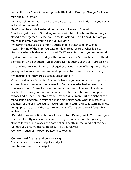beads. 'Now, sir,' he said, offering the bottle first to Grandpa George. 'Will you take one pill or two?'

'Will you solemnly swear,' said Grandpa George, 'that it will do what you say it will and nothing else?'

Mr Wonka placed his free hand on his heart. 'I swear it,' he said.

Charlie edged forward. Grandpa Joe came with him. The two of them always stayed close together. 'Please excuse me for asking,' Charlie said, 'but are you really absolutely sure you've got it quite right?'

'Whatever makes you ask a funny question like that?' said Mr Wonka.

'I was thinking of the gum you gave to Violet Beauregarde,' Charlie said.

'So that's what's bothering you!' cried Mr Wonka. 'But don't you understand, my dear boy, that I never did give that gum to Violet? She snatched it without permission. And I shouted, "Stop! Don't! Spit it out!" But the silly girl took no notice of me. Now Wonka-Vite is altogether different. I am offering these pills to your grandparents. I am recommending them. And when taken according to my instructions, they are as safe as sugar-candy!'

'Of course they are!' cried Mr Bucket. 'What are you waiting for, all of you!' An extraordinary change had come over Mr Bucket since he had entered the Chocolate Room. Normally he was a pretty timid sort of person. A lifetime devoted to screwing caps on to the tops of toothpaste tubes in a toothpaste factory had turned him into a rather shy and quiet man. But the sight of the marvellous Chocolate Factory had made his spirits soar. What is more, this business of the pills seemed to have given him a terrific kick. 'Listen!' he cried, going up to the edge of the bed. 'Mr Wonka's offering you a new life! Grab it while you can!'

'It's a delicious sensation,' Mr Wonka said. 'And it's very quick. You lose a year a second. Exactly one year falls away from you every second that goes by!' He stepped forward and placed the bottle of pills gently in the middle of the bed. 'So here you are, my dears,' he said. 'Help yourselves!' 'Come on!' cried all the Oompa-Loompas together.

'Come on, old friends, and do what's right! Come make your lives as bright as bright! Just take a dose of this delight!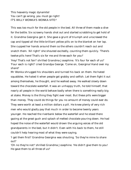This heavenly magic dynamite! You can't go wrong, you must go right! IT'S WILLY WONKA'S WONKA-VITE!'

This was too much for the old people in the bed. All three of them made a dive for the bottle. Six scrawny hands shot out and started scrabbling to get hold of it. Grandma Georgina got it. She gave a grunt of triumph and unscrewed the cap and tipped all the little brilliant yellow pills on to the blanket on her lap. She cupped her hands around them so the others couldn't reach out and snatch them. 'All right!' she shouted excitedly, counting them quickly. 'There's twelve pills here! That's six for me and three each for you!'

'Hey! That's not fair!' shrilled Grandma Josephine. 'It's four for each of us!' 'Four each is right!' cried Grandpa George. 'Come on, Georgina! Hand over my share!'

Mr Wonka shrugged his shoulders and turned his back on them. He hated squabbles. He hated it when people got grabby and selfish. Let them fight it out among themselves, he thought, and he walked away. He walked slowly down toward the chocolate waterfall. It was an unhappy truth, he told himself, that nearly all people in the world behave badly when there is something really big at stake. Money is the thing they fight over most. But these pills were bigger than money. They could do things for you no amount of money could ever do. They were worth at least a million dollars a pill. He knew plenty of very rich men who would gladly pay that much in order to become twenty years younger. He reached the riverbank below the waterfall and he stood there gazing at the great gush and splash of melted chocolate pouring down. He had hoped the noise of the waterfall would drown the arguing voices of the old grandparents in the bed, but it didn't. Even with his back to them, he still couldn't help hearing most of what they were saying.

'I got them first!' Grandma Georgina was shouting. 'So they're mine to share out!'

'Oh no they're not!' shrilled Grandma Josephine. 'He didn't give them to you! He gave them to all three of us!'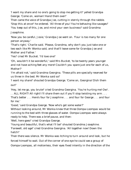'I want my share and no one's going to stop me getting it!' yelled Grandpa George. 'Come on, woman! Hand them over!'

Then came the voice of Grandpa Joe, cutting in sternly through the rabble. 'Stop this at once!' he ordered. 'All three of you! You're behaving like savages!' 'You keep out of this, Joe, and mind your own business!' said Grandma Josephine.

'Now you be careful, Josie,' Grandpa Joe went on. 'Four is too many for one person anyway.'

'That's right,' Charlie said. 'Please, Grandma, why don't you just take one or two each like Mr Wonka said, and that'll leave some for Grandpa Joe and Mother and Father.'

'Yes!' cried Mr Bucket. 'I'd love one!'

'Oh, wouldn't it be wonderful,' said Mrs Bucket, 'to be twenty years younger and not have aching feet any more! Couldn't you spare just one for each of us, Mother?'

'I'm afraid not,' said Grandma Georgina. 'These pills are specially reserved for us three in the bed. Mr Wonka said so!'

'I want my share!' shouted Grandpa George. 'Come on, Georgina! Dish them out!'

'Hey, let me go, you brute!' cried Grandma Georgina. 'You're hurting me! Ow! .

. . ALL RIGHT! All right! I'll share them out if you'll stop twisting my arm . . . That's better . . . Here's four for Josephine . . . and four for George . . . and four for me.'

'Good,' said Grandpa George. 'Now who's got some water?'

Without looking around, Mr Wonka knew that three Oompa-Loompas would be running to the bed with three glasses of water. Oompa-Loompas were always ready to help. There was a brief pause, and then:

'Well, here goes!' cried Grandpa George.

'Young and beautiful, that's what I'll be!' shouted Grandma Josephine. 'Farewell, old age!' cried Grandma Georgina. 'All together now! Down the hatch!'

Then there was silence. Mr Wonka was itching to turn around and look, but he forced himself to wait. Out of the corner of one eye he could see a group of

Oompa-Loompas, all motionless, their eyes fixed intently in the direction of the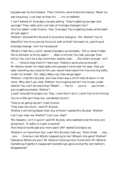big bed over by the Elevator. Then Charlie's voice broke the silence. 'Wow!' he was shouting. 'Just look at that! It's . . . it's incredible!'

'I can't believe it!' Grandpa Joe was yelling. 'They're getting younger and younger! They really are! Just look at Grandpa George's hair!'

'And his teeth!' cried Charlie. 'Hey, Grandpa! You're getting lovely white teeth all over again!'

'Mother!' shouted Mrs Bucket to Grandma Georgina. 'Oh, Mother! You're beautiful! You're so young! And just look at Dad!' she went on, pointing at

Grandpa George. 'Isn't he handsome!'

'What's it feel like, Josie?' asked Grandpa Joe excitedly. 'Tell us what it feels like to be back to thirty again! . . . Wait a minute! You look younger than thirty! You can't be a day more than twenty now! . . . But that's enough, isn't it! . . . I should stop there if I were you! Twenty's quite young enough! . . .' Mr Wonka shook his head sadly and passed a hand over his eyes. Had you been standing very close to him you would have heard him murmuring softly under his breath, 'Oh, deary deary me, here we go again . . .'

'Mother!' cried Mrs Bucket, and now there was a shrill note of alarm in her voice. 'Why don't you stop, Mother! You're going too far! You're way under twenty! You can't be more than fifteen! . . . You're . . . you're . . . you're ten . . . you're getting smaller, Mother!'

'Josie!' shouted Grandpa Joe. 'Hey, Josie! Don't do it, Josie! You're shrinking! You're a little girl! Stop her, somebody! Quick!'

'They're all going too far!' cried Charlie.

'They took too much,' said Mr Bucket.

'Mother's shrinking faster than any of them!' wailed Mrs Bucket. 'Mother!

Can't you hear me, Mother? Can't you stop?'

'My heavens, isn't it quick!' said Mr Bucket, who seemed to be the only one enjoying it. 'It really is a year a second!'

'But they've hardly got any more years left!' wailed Grandpa Joe.

'Mother's no more than four now!' Mrs Bucket cried out. 'She's three . . . two . . . one . . . Gracious me! What's happening to her! Where's she gone? Mother? Georgina! Where are you? Mr Wonka! Come quickly! Come here, Mr Wonka! Something frightful's happened! Something's gone wrong! My old mother's disappeared!'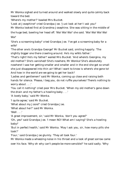Mr Wonka sighed and turned around and walked slowly and quite calmly back toward the bed.

'Where's my mother?' bawled Mrs Bucket.

'Look at Josephine!' cried Grandpa Joe. 'Just look at her! I ask you!' Mr Wonka looked first at Grandma Josephine. She was sitting in the middle of the huge bed, bawling her head off. 'Wa! Wa! Wa!' she said. 'Wa! Wa! Wa! Wa!

Wa!'

'She's a screaming baby!' cried Grandpa Joe. 'I've got a screaming baby for a wife!'

'The other one's Grandpa George!' Mr Bucket said, smiling happily. 'The slightly bigger one there crawling around. He's my wife's father.'

'That's right! He's my father!' wailed Mrs Bucket. 'And where's Georgina, my old mother? She's vanished! She's nowhere, Mr Wonka! She's absolutely nowhere! I saw her getting smaller and smaller and in the end she got so small she just disappeared into thin air! What I want to know is where's she gone to! And how in the world are we going to get her back!'

'Ladies and gentlemen!' said Mr Wonka, coming up close and raising both hands for silence. 'Please, I beg you, do not ruffle yourselves! There's nothing to worry about . . .'

'You call it nothing!' cried poor Mrs Bucket. 'When my old mother's gone down the drain and my father's a howling baby . . .'

'A lovely baby,' said Mr Wonka.

'I quite agree,' said Mr Bucket.

'What about my Josie?' cried Grandpa Joe.

'What about her?' said Mr Wonka.

'Well . . .'

'A great improvement, sir,' said Mr Wonka, 'don't you agree?'

'Oh, yes!' said Grandpa Joe. 'I mean NO! What am I saying? She's a howling baby!'

'But in perfect health,' said Mr Wonka. 'May I ask you, sir, how many pills she took?'

'Four,' said Grandpa Joe glumly. 'They all took four.'

Mr Wonka made a wheezing noise in his throat and a look of great sorrow came over his face. 'Why oh why can't people be more sensible?' he said sadly. 'Why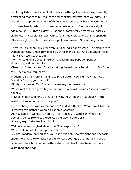don't they listen to me when I tell them something? I explained very carefully beforehand that each pill makes the taker exactly twenty years younger. So if Grandma Josephine took four of them, she automatically became younger by four times twenty, which is . . . wait a minute now . . . four twos are eight . . . add a nought . . . that's eighty . . . so she automatically became younger by eighty years. How old, sir, was your wife, if I may ask, before this happened?' 'She was eighty last birthday,' Grandpa Joe answered. 'She was eighty and three months.'

'There you are, then!' cried Mr Wonka, flashing a happy smile. 'The Wonka-Vite worked perfectly! She is now precisely three months old! And a plumper rosier infant I've never set eyes on!'

'Nor me,' said Mr Bucket. 'She'd win a prize in any baby competition.'

'First prize,' said Mr Wonka.

'Cheer up, Grandpa,' said Charlie, taking the old man's hand in his. 'Don't be sad. She's a beautiful baby.'

'Madam,' said Mr Wonka, turning to Mrs Bucket. 'How old, may I ask, was Grandpa George, your father?'

'Eighty-one,' wailed Mrs Bucket. 'He was eighty-one exactly.'

'Which makes him a great big bouncing one-year-old boy now,' said Mr Wonka happily.

'How splendid!' said Mr Bucket to his wife. 'You'll be the first person in the world to change her father's nappies!'

'He can change his own rotten nappies!' said Mrs Bucket. 'What I want to know is where's my mother? Where's Grandma Georgina?'

'Ah-ha,' said Mr Wonka. 'Oh-ho . . . Yes, indeed . . . Where oh where has Georgina gone? How old, please, was the lady in question?' 'Seventy-eight,' Mrs Bucket told him.

'Well, of course!' laughed Mr Wonka. 'That explains it!'

'What explains what?' snapped Mrs Bucket.

'My dear madam,' said Mr Wonka. 'If she was only seventy-eight and she took enough Wonka-Vite to make her eighty years younger, then naturally she's vanished. She's bitten off more than she could chew! She's taken off more years than she had!'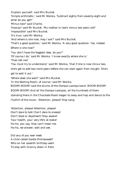'Explain yourself,' said Mrs Bucket. 'Simple arithmetic,' said Mr Wonka. 'Subtract eighty from seventy-eight and what do you get?' 'Minus two!' said Charlie. 'Hooray!' said Mr Bucket. 'My mother-in-law's minus two years old!' 'Impossible!' said Mrs Bucket. 'It's true,' said Mr Wonka. 'And where is she now, may I ask?' said Mrs Bucket. 'That's a good question,' said Mr Wonka. 'A very good question. Yes, indeed. Where is she now?' 'You don't have the foggiest idea, do you?' 'Of course I do,' said Mr Wonka. 'I know exactly where she is.' 'Then tell me!' 'You must try to understand,' said Mr Wonka, 'that if she is now minus two, she's got to add two more years before she can start again from nought. She's got to wait it out.' 'Where does she wait?' said Mrs Bucket. 'In the Waiting Room, of course,' said Mr Wonka. BOOM!-BOOM! said the drums of the Oompa-Loompa band. BOOM-BOOM! BOOM-BOOM! And all the Oompa-Loompas, all the hundreds of them

standing there in the Chocolate Room began to sway and hop and dance to the rhythm of the music. 'Attention, please!' they sang.

'Attention, please! Attention, please! Don't dare to talk! Don't dare to sneeze! Don't doze or daydream! Stay awake! Your health, your very life's at stake! Ho-ho, you say, they can't mean me. Ha-ha, we answer, wait and see.

Did any of you ever meet A child called Goldie Pinklesweet? Who on her seventh birthday went To stay with Granny down in Kent.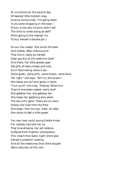At lunchtime on the second day Of dearest little Goldie's stay, Granny announced, "I'm going down To do some shopping in the town." (D'you know why Granny didn't tell The child to come along as well? She's going to the nearest inn To buy herself a double gin.)

So out she creeps. She shuts the door. And Goldie, after making sure That she is really by herself, Goes quickly to the medicine shelf, And there, her little greedy eyes See pills of every shape and size, Such fascinating colours too – Some green, some pink, some brown, some blue. "All right," she says, "let's try the brown." She takes one pill and gulps it down. "Yum-yum!" she cries. "Hooray! What fun! They're chocolate-coated, every one!" She gobbles five, she gobbles ten, She stops her gobbling only when The last pill's gone. There are no more. Slowly she rises from the floor. She stops. She hiccups. Dear, oh dear, She starts to feel a trifle queer.

You see, how could young Goldie know, For nobody had told her so, That Grandmama, her old relation, Suffered from frightful constipation. This meant that every night she'd give Herself a powerful laxative, And all the medicines that she'd bought Were naturally of this sort.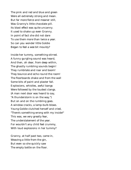The pink and red and blue and green Were all extremely strong and mean. But far more fierce and meaner still, Was Granny's little chocolate pill. Its blast effect was quite uncanny. It used to shake up even Granny. In point of fact she did not dare To use them more than twice a year. So can you wonder little Goldie Began to feel a wee bit mouldy?

Inside her tummy, something stirred. A funny gurgling sound was heard, And then, oh dear, from deep within, The ghastly rumbling sounds begin! They rumbilate and roar and boom! They bounce and echo round the room! The floorboards shake and from the wall Some bits of paint and plaster fall. Explosions, whistles, awful bangs Were followed by the loudest clangs. (A man next door was heard to say, "A thunderstorm is on the way.") But on and on the rumbling goes. A window cracks, a lamp-bulb blows. Young Goldie clutched herself and cried, "There's something wrong with my inside!" This was, we very greatly fear, The understatement of the year. For wouldn't any child feel crummy, With loud explosions in her tummy?

Granny, at half past two, came in, Weaving a little from the gin, But even so she quickly saw The empty bottle on the floor.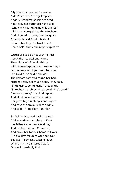"My precious laxatives!" she cried. "I don't feel well," the girl replied. Angrily Grandma shook her head. "I'm really not surprised," she said. "Why can't you leave my pills alone?" With that, she grabbed the telephone And shouted, "Listen, send us quick An ambulance! A child is sick! It's number fifty, Fontwell Road! Come fast! I think she might explode!"

We're sure you do not wish to hear About the hospital and where They did a lot of horrid things With stomach-pumps and rubber rings. Let's answer what you want to know: Did Goldie live or did she go? The doctors gathered round her bed. "There's really not much hope," they said. "She's going, going, gone!" they cried. "She's had her chips! She's dead! She's dead!" "I'm not so sure," the child replied. And all at once she opened wide Her great big bluish eyes and sighed, And gave the anxious docs a wink, And said, "I'll be okay, I think."

So Goldie lived and back she went At first to Granny's place in Kent. Her father came the second day And fetched her in a Chevrolet, And drove her to their home in Dover. But Goldie's troubles were not over. You see, if someone takes enough Of any highly dangerous stuff, One will invariably find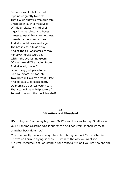Some traces of it left behind. It pains us greatly to relate That Goldie suffered from this fate. She'd taken such a massive fill Of this unpleasant kind of pill, It got into her blood and bones, It messed up all her chromosomes, It made her constantly upset, And she could never really get The beastly stuff to go away. And so the girl was forced to stay For seven hours every day Within the everlasting gloom Of what we call The Ladies Room. And after all, the W.C. Is not the gayest place to be. So now, before it is too late, Take heed of Goldie's dreadful fate. And seriously, all jokes apart, Do promise us across your heart That you will never help yourself To medicine from the medicine shelf.'

## **16 Vita-Wonk and Minusland**

'It's up to you, Charlie my boy,' said Mr Wonka. 'It's your factory. Shall we let your Grandma Georgina wait it out for the next two years or shall we try to bring her back right now?'

'You don't really mean you might be able to bring her back?' cried Charlie. 'There's no harm in trying, is there . . . if that's the way you want it?' 'Oh yes! Of course I do! For Mother's sake especially! Can't you see how sad she is!'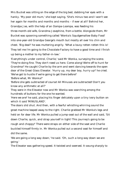Mrs Bucket was sitting on the edge of the big bed, dabbing her eyes with a hanky. 'My poor old mum,' she kept saying. 'She's minus two and I won't see her again for months and months and months – if ever at all!' Behind her, Grandpa Joe, with the help of an Oompa-Loompa, was feeding his three-month-old wife, Grandma Josephine, from a bottle. Alongside them, Mr Bucket was spooning something called 'Wonka's Squdgemallow Baby Food' into one-year-old Grandpa George's mouth but mostly all over his chin and chest. 'Big deal!' he was muttering angrily. 'What a lousy rotten rotten this is! They tell me I'm going to the Chocolate Factory to have a good time and I finish up being a mother to my father-in-law.'

'Everything's under control, Charlie,' said Mr Wonka, surveying the scene. 'They're doing fine. They don't need us here. Come along! We're off to hunt for Grandma!' He caught Charlie by the arm and went dancing towards the open door of the Great Glass Elevator. 'Hurry up, my dear boy, hurry up!' he cried. 'We've got to hustle if we're going to get there before!'

'Before what, Mr Wonka?'

'Before she gets subtracted of course! All Minuses are subtracted! Don't you know any arithmetic at all?'

They were in the Elevator now and Mr Wonka was searching among the hundreds of buttons for the one he wanted.

'Here we are!' he said, placing his finger delicately upon a tiny ivory button on which it said 'MINUSLAND'.

The doors slid shut. And then, with a fearful whistling whirring sound the great machine leaped away to the right. Charlie grabbed Mr Wonka's legs and held on for dear life. Mr Wonka pulled a jump-seat out of the wall and said, 'Sit down Charlie, quick, and strap yourself in tight! This journey's going to be rough and choppy!' There were straps on either side of the seat and Charlie buckled himself firmly in. Mr Wonka pulled out a second seat for himself and did the same.

'We are going a long way down,' he said. 'Oh, such a long way down we are going.'

The Elevator was gathering speed. It twisted and swerved. It swung sharply to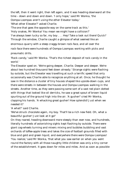the left, then it went right, then left again, and it was heading downward all the time – down and down and down. 'I only hope,' said Mr Wonka, 'the Oompa-Loompas aren't using the other Elevator today.' 'What other Elevator?' asked Charlie.

'The one that goes the opposite way on the same track as this.' 'Holy snakes, Mr Wonka! You mean we might have a collision?' 'I've always been lucky so far, my boy . . . Hey! Take a look out there! Quick!' Through the window, Charlie caught a glimpse of what seemed like an enormous quarry with a steep craggy-brown rock-face, and all over the rock-face there were hundreds of Oompa-Loompas working with picks and pneumatic drills.

'Rock-candy,' said Mr Wonka. 'That's the richest deposit of rock-candy in the world.'

The Elevator sped on. 'We're going deeper, Charlie. Deeper and deeper. We're about two hundred thousand feet down already.' Strange sights were flashing by outside, but the Elevator was travelling at such a terrific speed that only occasionally was Charlie able to recognize anything at all. Once, he thought he saw in the distance a cluster of tiny houses shaped like upside-down cups, and there were streets in between the houses and Oompa-Loompas walking in the streets. Another time, as they were passing some sort of a vast red plain dotted with things that looked like oil derricks, he saw a great spout of brown liquid spurting out of the ground high into the air. 'A gusher!' cried Mr Wonka, clapping his hands. 'A whacking great gusher! How splendid! Just when we needed it!'

'A what?' said Charlie.

'We've struck chocolate again, my boy. That'll be a rich new field. Oh, what a beautiful gusher! Just look at it go!'

On they roared, heading downward more steeply than ever now, and hundreds, literally hundreds of astonishing sights kept flashing by outside. There were giant cog-wheels turning and mixers mixing and bubbles bubbling and vast orchards of toffee-apple trees and lakes the size of football grounds filled with blue and gold and green liquid, and everywhere there were Oompa-Loompas! 'You realize,' said Mr Wonka, 'that what you saw earlier on when you went round the factory with all those naughty little children was only a tiny corner of the establishment. It goes down for miles and miles. And as soon as possible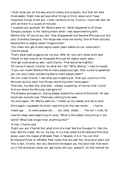I shall show you all the way around slowly and properly. But that will take three weeks. Right now we have other things to think about and I have important things to tell you. Listen carefully to me, Charlie. I must talk fast, for we'll be there in a couple of minutes.

'I suppose you guessed,' Mr Wonka went on, 'what happened to all those Oompa-Loompas in the Testing Room when I was experimenting with Wonka-Vite. Of course you did. They disappeared and became Minuses just like your Grandma Georgina. The recipe was miles too strong. One of them actually became Minus eighty-seven! Imagine that!'

'You mean he's got to wait eighty-seven years before he can come back?' Charlie asked.

'That's what kept bugging me, my boy. After all, one can't allow one's best friends to wait around as miserable Minuses for eighty-seven years . . .'

'And get subtracted as well,' said Charlie. 'That would be frightful.'

'Of course it would, Charlie. So what did I do? "Willy Wonka," I said to myself, "if you can invent Wonka-Vite to make people younger, then surely to goodness you can also invent something else to make people older!"'

'Ah-ha!' cried Charlie. 'I see what you're getting at. Then you could turn the Minuses quickly back into Pluses and bring them home again.'

'Precisely, my dear boy, precisely – always supposing, of course, that I could find out where the Minuses had gone to!'

The Elevator plunged on, diving steeply toward the centre of the Earth. All was blackness outside now. There was nothing to be seen.

'So once again,' Mr Wonka went on, 'I rolled up my sleeves and set to work.

Once again I squeezed my brain, searching for the new recipe . . . I had to create age . . . to make people old . . . old, older, oldest . . . "Ha-ha!" I cried, for now the ideas were beginning to come. "What is the oldest living thing in the world? What lives longer than anything else?"'

'A tree,' Charlie said.

'Right you are, Charlie! But what kind of a tree? Not the Douglas Fir. Not the Oak. Not the Cedar. No no, my boy. It is a tree called the Bristlecone Pine that grows upon the slopes of Wheeler Peak in Nevada, U.S.A. You can find Bristlecone Pines on Wheeler Peak today that are over four thousand years old! This is fact, Charlie. Ask any dendrochronologist you like (and look that word up in the dictionary when you get home, will you, please?). So that started me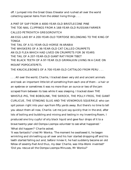off. I jumped into the Great Glass Elevator and rushed all over the world collecting special items from the oldest living things . . .

A PINT OF SAP FROM A 4000-YEAR-OLD BRISTLECONE PINE THE TOE-NAIL CLIPPINGS FROM A 168-YEAR-OLD RUSSIAN FARMER CALLED PETROVITCH GREGOROVITCH AN EGG LAID BY A 200-YEAR-OLD TORTOISE BELONGING TO THE KING OF TONGA THE TAIL OF A 51-YEAR-OLD HORSE IN ARABIA THE WHISKERS OF A 36-YEAR-OLD CAT CALLED CRUMPETS AN OLD FLEA WHICH HAD LIVED ON CRUMPETS FOR 36 YEARS THE TAIL OF A 207-YEAR-OLD GIANT RAT FROM TIBET THE BLACK TEETH OF A 97-YEAR OLD GRIMALKIN LIVING IN A CAVE ON MOUNT POPOCATEPETL

THE KNUCKLEBONES OF A 700-YEAR-OLD CATTALOO FROM PERU . . .

. . . All over the world, Charlie, I tracked down very old and ancient animals and took an important little bit of something from each one of them – a hair or an eyebrow or sometimes it was no more than an ounce or two of the jam scraped from between its toes while it was sleeping. I tracked down THE WHISTLE-PIG, THE BOBOLINK, THE SKROCK, THE POLLY-FROG, THE GIANT CURLICUE, THE STINGING SLUG AND THE VENOMOUS SQUERKLE who can spit poison right into your eye from fifty yards away. But there's no time to tell you about them all now, Charlie. Let me just say quickly that in the end, after lots of boiling and bubbling and mixing and testing in my Inventing Room, I produced one tiny cupful of oily black liquid and gave four drops of it to a brave twenty-year-old Oompa-Loompa volunteer to see what happened.' 'What did happen?' Charlie asked.

'It was fantastic!' cried Mr Wonka. 'The moment he swallowed it, he began wrinkling and shrivelling up all over and his hair started dropping off and his teeth started falling out and, before I knew it, he had suddenly become an old fellow of seventy-five! And thus, my dear Charlie, was Vita-Wonk invented!' 'Did you rescue all the Oompa-Loompa Minuses, Mr Wonka?'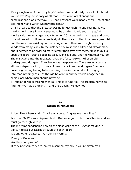'Every single one of them, my boy! One hundred and thirty-one all told! Mind you, it wasn't quite as easy as all that. There were lots of snags and complications along the way. . . . Good heavens! We're nearly there! I must stop talking now and watch where we're going.'

Charlie realized that the Elevator was no longer rushing and roaring. It was hardly moving at all now. It seemed to be drifting. 'Undo your straps,' Mr Wonka said. 'We must get ready for action.' Charlie undid his straps and stood up and peered out. It was an eerie sight. They were drifting in a heavy grey mist and the mist was swirling and swishing around them as though driven by winds from many sides. In the distance, the mist was darker and almost black and it seemed to be swirling more fiercely than ever over there. Mr Wonka slid open the doors. 'Stand back!' he said. 'Don't fall out, Charlie, whatever you do!' The mist came into the Elevator. It had the fusty reeky smell of an old underground dungeon. The silence was overpowering. There was no sound at all, no whisper of wind, no voice of creature or insect, and it gave Charlie a queer frightening feeling to be standing there in the middle of this grey inhuman nothingness – as though he were in another world altogether, in some place where man should never be.

'Minusland!' whispered Mr Wonka. 'This is it, Charlie! The problem now is to find her. We may be lucky . . . and there again, we may not!'

### **17**

### **Rescue in Minusland**

'I don't like it here at all,' Charlie whispered. 'It gives me the willies.'

'Me, too,' Mr Wonka whispered back. 'But we've got a job to do, Charlie, and we must go through with it.'

The mist was condensing now on the glass walls of the Elevator making it difficult to see out except through the open doors.

'Do any other creatures live here, Mr Wonka?'

'Plenty of Gnoolies.'

'Are they dangerous?'

'If they bite you, they are. You're a gonner, my boy, if you're bitten by a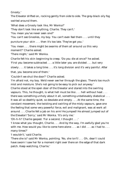Gnooly.'

The Elevator drifted on, rocking gently from side to side. The grey-black oily fog swirled around them.

'What does a Gnooly look like, Mr Wonka?'

'They don't look like anything, Charlie. They can't.'

'You mean you've never seen one?'

'You can't see Gnoolies, my boy. You can't even feel them . . . until they

puncture your skin . . . then it's too late. They've got you.'

'You mean . . . there might be swarms of them all around us this very moment?' Charlie asked.

'There might,' said Mr Wonka.

Charlie felt his skin beginning to creep. 'Do you die at once?' he asked. 'First you become subtracted . . . a little later you are divided . . . but very slowly . . . it takes a long time . . . it's long division and it's very painful. After that, you become one of them.'

'Couldn't we shut the door?' Charlie asked.

'I'm afraid not, my boy. We'd never see her through the glass. There's too much mist and moisture. She's not going to be easy to pick out anyway.'

Charlie stood at the open door of the Elevator and stared into the swirling vapours. This, he thought, is what hell must be like . . . hell without heat . . . there was something unholy about it all, something unbelievably diabolical . . . It was all so deathly quiet, so desolate and empty . . . At the same time, the constant movement, the twisting and swirling of the misty vapours, gave one the feeling that some very powerful force, evil and malignant, was at work all around . . . Charlie felt a jab on his arm! He jumped! He almost jumped out of the Elevator! 'Sorry,' said Mr Wonka. 'It's only me.'

'Oh-h-h!' Charlie gasped. 'For a second, I thought . . .'

'I know what you thought, Charlie . . . And by the way, I'm awfully glad you're with me. How would you like to come here alone . . . as I did . . . as I had to . . . many times?'

'I wouldn't,' said Charlie.

'There she is!' said Mr Wonka, pointing. 'No, she isn't! . . . Oh, dear! I could have sworn I saw her for a moment right over there on the edge of that dark patch. Keep watching, Charlie.'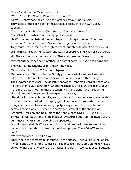'There!' said Charlie. 'Over there. Look!'

'Where?' said Mr Wonka. 'Point to her, Charlie!'

'She's . . . she's gone again. She sort of faded away,' Charlie said.

They stood at the open door of the Elevator, peering into the swirly grey vapours.

'There! Quick! Right there!' Charlie cried. 'Can't you see her?'

'Yes, Charlie! I see her! I'm moving up close now!'

Mr Wonka reached behind him and began touching a number of buttons.

'Grandma!' Charlie cried out. 'We've come to get you, Grandma!'

They could see her faintly through the mist, but oh so faintly. And they could

see the mist through her as well. She was transparent. She was hardly there at

all. She was no more than a shadow. They could see her face and just the

faintest outline of her body swathed in a sort of gown. But she wasn't upright.

She was floating lengthwise in the swirling vapour.

'Why is she lying down?' Charlie whispered.

'Because she's a Minus, Charlie. Surely you know what a minus looks like . . . Like that . . .' Mr Wonka drew a horizontal line in the air with his finger.

The Elevator glided close. The ghostly shadow of Grandma Georgina's face was no more than a yard away now. Charlie reached out through the door to touch her but there was nothing there to touch. His hand went right through her skin. 'Grandma!' he gasped. She began to drift away.

'Stand back!' ordered Mr Wonka, and suddenly, from some secret place inside his coat-tails he whisked out a spray-gun. It was one of those old-fashioned things people used to use for spraying fly-spray around the room before aerosols came along. He aimed the spray-gun straight at the shadow of Grandma Georgina and he pumped the handle hard ONCE . . . TWICE . . .

THREE TIMES! Each time, a fine black spray spurted out from the nozzle of the gun. Instantly, Grandma Georgina disappeared.

'A bull's eye!' cried Mr Wonka, jumping up and down with excitement. 'I got her with both barrels! I plussed her good and proper! That's Vita-Wonk for you!'

'Where's she gone?' Charlie asked.

'Back where she came from, of course! To the factory! She's a Minus no longer, my boy! She's a one hundred per cent red-blooded Plus! Come along now! Let's get out of here quickly before the Gnoolies find us!' Mr Wonka jabbed a button.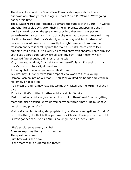The doors closed and the Great Glass Elevator shot upwards for home. 'Sit down and strap yourself in again, Charlie!' said Mr Wonka. 'We're going flat out this time!'

The Elevator roared and rocketed up toward the surface of the Earth. Mr Wonka and Charlie sat side by side on their little jump-seats, strapped in tight. Mr Wonka started tucking the spray-gun back into that enormous pocket somewhere in his coat-tails. 'It's such a pity one has to use a clumsy old thing like this,' he said. 'But there's simply no other way of doing it. Ideally, of course, one would measure out exactly the right number of drops into a teaspoon and feed it carefully into the mouth. But it's impossible to feed anything into a Minus. It's like trying to feed one's own shadow. That's why I've got to use a spray-gun. Spray 'em all over, my boy! That's the only way!' 'It worked fine, though, didn't it?' Charlie said.

'Oh, it worked all right, Charlie! It worked beautifully! All I'm saying is that there's bound to be a slight overdose . . .'

'I don't quite know what you mean, Mr Wonka.'

'My dear boy, if it only takes four drops of Vita-Wonk to turn a young Oompa-Loompa into an old man . . .' Mr Wonka lifted his hands and let them fall limply on to his lap.

'You mean Grandma may have got too much?' asked Charlie, turning slightly pale.

'I'm afraid that's putting it rather mildly,' said Mr Wonka.

'But . . . but why did you give her such a lot of it, then?' said Charlie, getting more and more worried. 'Why did you spray her three times? She must have

got pints and pints of it!'

'Gallons!' cried Mr Wonka, slapping his thighs. 'Gallons and gallons! But don't let a little thing like that bother you, my dear Charlie! The important part of it is we've got her back! She's a Minus no longer! She's a lovely Plus!

'She's as plussy as plussy can be! She's more plussy than you or than me! The question is how, Just how old is she now? Is she more than a hundred and three?'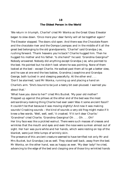# **The Oldest Person in the World**

'We return in triumph, Charlie!' cried Mr Wonka as the Great Glass Elevator began to slow down. 'Once more your dear family will all be together again!' The Elevator stopped. The doors slid open. And there was the Chocolate Room and the chocolate river and the Oompa-Loompas and in the middle of it all the great bed belonging to the old grandparents. 'Charlie!' said Grandpa Joe, rushing forward. 'Thank heavens you're back!' Charlie hugged him. Then he hugged his mother and his father. 'Is she here?' he said. 'Grandma Georgina?' Nobody answered. Nobody did anything except Grandpa Joe, who pointed to the bed. He pointed but he didn't look where he was pointing. None of them looked at the bed – except Charlie. He walked past them all to get a better view, and he saw at one end the two babies, Grandma Josephine and Grandpa George, both tucked in and sleeping peacefully. At the other end . . . 'Don't be alarmed,' said Mr Wonka, running up and placing a hand on Charlie's arm. 'She's bound to be just a teeny bit over-plussed. I warned you about that.'

'What have you done to her?' cried Mrs Bucket. 'My poor old mother!' Propped up against the pillows at the other end of the bed was the most extraordinary-looking thing Charlie had ever seen! Was it some ancient fossil? It couldn't be that because it was moving slightly! And now it was making sounds! Croaking sounds – the kind of sounds a very old frog might make if it knew a few words. 'Well, well, well,' it croaked. 'If it isn't dear Charlie.' 'Grandma!' cried Charlie. 'Grandma Georgina! Oh . . . Oh . . . Oh!' Her tiny face was like a pickled walnut. There were such masses of creases and wrinkles that the mouth and eyes and even the nose were sunken almost out of sight. Her hair was pure white and her hands, which were resting on top of the blanket, were just little lumps of wrinkly skin.

The presence of this ancient creature seemed to have terrified not only Mr and Mrs Bucket, but Grandpa Joe as well. They stood well back, away from the bed. Mr Wonka, on the other hand, was as happy as ever. 'My dear lady!' he cried, advancing to the edge of the bed and clasping one of those tiny wrinkled hands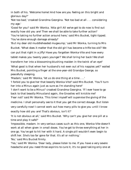in both of his. 'Welcome home! And how are you feeling on this bright and glorious day?'

'Not too bad,' croaked Grandma Georgina. 'Not too bad at all . . . considering my age.'

'Good for you!' said Mr Wonka. 'Atta girl! All we've got to do now is find out exactly how old you are! Then we shall be able to take further action!'

'You're taking no further action around here,' said Mrs Bucket, tight-lipped. 'You've done enough damage already!'

'But my dear old muddleheaded mugwump,' said Mr Wonka, turning to Mrs Bucket. 'What does it matter that the old girl has become a trifle too old? We

can put that right in a jiffy! Have you forgotten Wonka-Vite and how every

tablet makes you twenty years younger? We shall bring her back! We shall

transform her into a blossoming blushing maiden in the twink of an eye!'

'What good is that when her husband's not even out of his nappies yet?' wailed Mrs Bucket, pointing a finger at the one-year-old Grandpa George, so peacefully sleeping.

'Madam,' said Mr Wonka, 'let us do one thing at a time . . .'

'I forbid you to give her that beastly Wonka-Vite!' said Mrs Bucket. 'You'll turn her into a Minus again just as sure as I'm standing here!'

'I don't want to be a Minus!' croaked Grandma Georgina. 'If I ever have to go back to that beastly Minusland again, the Gnoolies will knickle me!' 'Fear not!' said Mr Wonka. 'This time I myself will supervise the giving of the medicine. I shall personally see to it that you get the correct dosage. But listen very carefully now! I cannot work out how many pills to give you until I know

exactly how old you are! That's obvious, isn't it?'

'It is not obvious at all,' said Mrs Bucket. 'Why can't you give her one pill at a time and play it safe?'

'Impossible, madam. In very serious cases such as this one, Wonka-Vite doesn't work at all when given in small doses. You've got to throw everything at her in one go. You've got to hit her with it hard. A single pill wouldn't even begin to shift her. She's too far gone for that. It's all or nothing.'

'No,' said Mrs Bucket firmly.

'Yes,' said Mr Wonka. 'Dear lady, please listen to me. If you have a very severe headache and you need three aspirins to cure it, it's no good taking only one at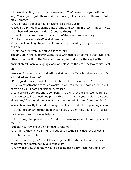a time and waiting four hours between each. You'll never cure yourself that way. You've got to gulp them all down in one go. It's the same with Wonka-Vite. May I proceed?'

'Oh, all right, I suppose you'll have to,' said Mrs Bucket.

'Good,' said Mr Wonka, giving a little jump and twirling his feet in the air. 'Now then, how old are you, my dear Grandma Georgina?'

'I don't know,' she croaked. 'I lost count of that years and years ago.'

'Don't you have any idea?' said Mr Wonka.

'Of course I don't,' gibbered the old woman. 'Nor would you if you were as old as I am.'

'Think!' said Mr Wonka. 'You've got to think!'

The tiny old wrinkled brown walnut face wrinkled itself up more than ever. The

others stood waiting. The Oompa-Loompas, enthralled by the sight of this

ancient object, were all edging closer and closer to the bed. The two babies slept on.

'Are you, for example, a hundred?' said Mr Wonka. 'Or a hundred and ten? Or a hundred and twenty?'

'It's no good,' she croaked. 'I never did have a head for numbers.'

'This is a catastrophe!' cried Mr Wonka. 'If you can't tell me how old you are, I can't help you! I dare not risk an overdose!'

Gloom settled upon the entire company, including for once Mr Wonka himself. 'You've messed it up good and proper this time, haven't you?' said Mrs Bucket. 'Grandma,' Charlie said, moving forward to the bed. 'Listen, Grandma. Don't

worry about exactly how old you might be. Try to think of a happening instead

. . . think of something that happened to you . . . anything you like . . . as far back as you can . . . it may help us . . .'

'Lots of things happened to me, Charlie . . . so many many things happened to me . . .'

'But can you remember any of them, Grandma?'

'Oh, I don't know, my darling . . . I suppose I could remember one or two if I thought hard enough . . .'

'Good, Grandma, good!' said Charlie eagerly. 'Now what is the very earliest thing you can remember in your whole life?'

'Oh, my dear boy, that really would be going back a few years, wouldn't it?'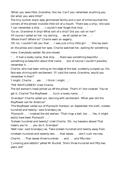'When you were little, Grandma, like me. Can't you remember anything you did when you were little?'

The tiny sunken black eyes glimmered faintly and a sort of smile touched the corners of the almost invisible little slit of a mouth. 'There was a ship,' she said. 'I can remember a ship . . . I couldn't ever forget that ship . . .'

'Go on, Grandma! A ship! What sort of a ship? Did you sail on her?'

'Of course I sailed on her, my darling . . . we all sailed on her . . .'

'Where from? Where to?' Charlie went on eagerly.

'Oh no, I couldn't tell you that . . . I was just a tiny little girl . . .' She lay back on the pillow and closed her eyes. Charlie watched her, waiting for something more. Everybody waited. No one moved.

'. . . It had a lovely name, that ship . . . there was something beautiful . . . something so beautiful about that name . . . but of course I couldn't possibly remember it . . .'

Charlie, who had been sitting on the edge of the bed, suddenly jumped up. His face was shining with excitement. 'If I said the name, Grandma, would you remember it then?'

'I might, Charlie . . . yes . . . I think I might . . .'

'THE MAYFLOWER!' cried Charlie.

The old woman's head jerked up off the pillow. 'That's it!' she croaked. 'You've got it, Charlie! The Mayflower . . . Such a lovely name . . .'

'Grandpa!' Charlie called out, dancing with excitement. 'What year did the Mayflower sail for America?'

'The Mayflower sailed out of Plymouth Harbour on September the sixth, sixteen hundred and twenty,' said Grandpa Joe.

'Plymouth . . .' croaked the old woman. 'That rings a bell, too . . . Yes, it might easily have been Plymouth . . .'

'Sixteen hundred and twenty!' cried Charlie. 'Oh, my heavens above! That means you're . . . you do it, Grandpa!'

'Well now,' said Grandpa Joe. 'Take sixteen hundred and twenty away from nineteen hundred and seventy-two . . . that leaves . . . don't rush me now,

Charlie . . . That leaves three hundred . . . and . . . and fifty-two.'

'Jumping jackrabbits!' yelled Mr Bucket. 'She's three hundred and fifty-two years old!'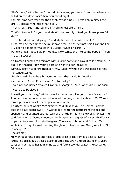'She's more,' said Charlie. 'How old did you say you were, Grandma, when you sailed on the Mayflower? Were you about eight?'

'I think I was even younger than that, my darling . . . I was only a bitty little girl . . . probably no more than six . . .'

'Then she's three hundred and fifty-eight!' gasped Charlie.

'That's Vita-Wonk for you,' said Mr Wonka proudly. 'I told you it was powerful stuff.'

'Three hundred and fifty-eight!' said Mr Bucket. 'It's unbelievable!'

'Just imagine the things she must have seen in her lifetime!' said Grandpa Joe. 'My poor old mother!' wailed Mrs Bucket. 'What on earth . . .'

'Patience, dear lady,' said Mr Wonka. 'Now comes the interesting part. Bring on the Wonka-Vite!'

An Oompa-Loompa ran forward with a large bottle and gave it to Mr Wonka. He put it on the bed. 'How young does she want to be?' he asked.

'Seventy-eight,' said Mrs Bucket firmly. 'Exactly where she was before all this nonsense started!'

'Surely she'd like to be a bit younger than that?' said Mr Wonka.

'Certainly not!' said Mrs Bucket. 'It's too risky!'

'Too risky, too risky!' croaked Grandma Georgina. 'You'll only Minus me again

if you try to be clever!'

'Have it your own way,' said Mr Wonka. 'Now then, I've got to do a few sums.' Another Oompa-Loompa trotted forward, holding up a blackboard. Mr Wonka took a piece of chalk from his pocket and wrote:

'Fourteen pills of Wonka-Vite exactly,' said Mr Wonka. The Oompa-Loompa took the blackboard away. Mr Wonka picked up the bottle from the bed and opened it and counted out fourteen of the little brilliant yellow pills. 'Water!' he said. Yet another Oompa-Loompa ran forward with a glass of water. Mr Wonka tipped all fourteen pills into the glass. The water bubbled and frothed. 'Drink it while it's fizzing,' he said, holding the glass up to Grandma Georgina's lips. 'All in one gulp!'

She drank it.

Mr Wonka sprang back and took a large brass clock from his pocket. 'Don't forget,' he cried, 'it's a year a second! She's got two hundred and eighty years to lose! That'll take her four minutes and forty seconds! Watch the centuries fall away!'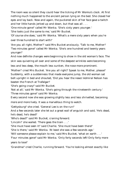The room was so silent they could hear the ticking of Mr Wonka's clock. At first nothing much happened to the ancient person lying on the bed. She closed her eyes and lay back. Now and again, the puckered skin of her face gave a twitch and her little hands jerked up and down, but that was all . . .

'One minute gone!' called Mr Wonka. 'She's sixty years younger.'

'She looks just the same to me,' said Mr Bucket.

'Of course she does,' said Mr Wonka. 'What's a mere sixty years when you're over three hundred to start with!'

'Are you all right, Mother?' said Mrs Bucket anxiously. 'Talk to me, Mother!' 'Two minutes gone!' called Mr Wonka. 'She's one hundred and twenty years younger!'

And now definite changes were beginning to show in the old woman's face. The

skin was quivering all over and some of the deepest wrinkles were becoming

less and less deep, the mouth less sunken, the nose more prominent.

'Mother!' cried Mrs Bucket. 'Are you all right? Speak to me, Mother, please!' Suddenly, with a suddenness that made everyone jump, the old woman sat bolt upright in bed and shouted, 'Did you hear the news! Admiral Nelson has beaten the French at Trafalgar!'

'She's going crazy!' said Mr Bucket.

'Not at all,' said Mr Wonka. 'She's going through the nineteenth century.' 'Three minutes gone!' said Mr Wonka.

Every second now she was growing slightly less and less shrivelled, becoming more and more lively. It was a marvellous thing to watch.

'Gettysburg!' she cried. 'General Lee is on the run!'

And a few seconds later she let out a great wail of anguish and said, 'He's dead, he's dead, he's dead!'

'Who's dead?' said Mr Bucket, craning forward.

'Lincoln!' she wailed. 'There goes the train . . .'

'She must have seen it!' said Charlie. 'She must have been there!'

'She is there,' said Mr Wonka. 'At least she was a few seconds ago.'

'Will someone please explain to me,' said Mrs Bucket, 'what on earth . . .'

'Four minutes gone!' said Mr Wonka. 'Only forty seconds left! Only forty more years to lose!'

'Grandma!' cried Charlie, running forward. 'You're looking almost exactly like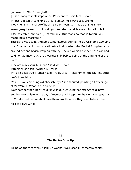you used to! Oh, I'm so glad!'

'Just as long as it all stops when it's meant to,' said Mrs Bucket.

'I'll bet it doesn't,' said Mr Bucket. 'Something always goes wrong.' 'Not when I'm in charge of it, sir,' said Mr Wonka. 'Time's up! She is now seventy-eight years old! How do you feel, dear lady? Is everything all right?' 'I feel tolerable,' she said. 'Just tolerable. But that's no thanks to you, you meddling old mackerel!'

There she was again, the same cantankerous grumbling old Grandma Georgina that Charlie had known so well before it all started. Mrs Bucket flung her arms around her and began weeping with joy. The old woman pushed her aside and said, 'What, may I ask, are those two silly babies doing at the other end of the bed?'

'One of them's your husband,' said Mr Bucket.

'Rubbish!' she said. 'Where is George?'

'I'm afraid it's true, Mother,' said Mrs Bucket. 'That's him on the left. The other one's Josephine . . .'

'You . . . you chiselling old cheeseburger!' she shouted, pointing a fierce finger at Mr Wonka. 'What in the name of . . .'

'Now now now now now!' said Mr Wonka. 'Let us not for mercy's sake have another row so late in the day. If everyone will keep their hair on and leave this to Charlie and me, we shall have them exactly where they used to be in the flick of a fly's wing!'

**19**

### **The Babies Grow Up**

'Bring on the Vita-Wonk!' said Mr Wonka. 'We'll soon fix these two babies.'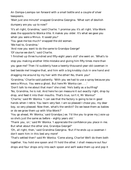An Oompa-Loompa ran forward with a small bottle and a couple of silver teaspoons.

'Wait just one minute!' snapped Grandma Georgina. 'What sort of devilish dumpery are you up to now?'

'It's all right, Grandma,' said Charlie. 'I promise you it's all right. Vita-Wonk does the opposite to Wonka-Vite. It makes you older. It's what we gave you when you were a Minus. It saved you!'

'You gave me too much!' snapped the old woman.

'We had to, Grandma.'

'And now you want to do the same to Grandpa George!'

'Of course we don't,' said Charlie.

'I finished up three hundred and fifty-eight years old!' she went on. 'What's to stop you making another little mistake and giving him fifty times more than you gave me? Then I'd suddenly have a twenty-thousand-year-old caveman in

bed beside me! Imagine that, and him with a big knobby club in one hand and

dragging me around by my hair with the other! No, thank you!'

'Grandma,' Charlie said patiently. 'With you we had to use a spray because you were a Minus. You were a ghost. But here Mr Wonka can . . .'

'Don't talk to me about that man!' she cried. 'He's batty as a bullfrog!'

'No, Grandma, he is not. And here he can measure it out exactly right, drop by drop, and feed it into their mouths. That's true, isn't it, Mr Wonka?'

'Charlie,' said Mr Wonka. 'I can see that the factory is going to be in good hands when I retire. You learn very fast. I am so pleased I chose you, my dear boy, so very pleased. Now then, what's the verdict? Do we leave them as babies or do we grow them up with Vita-Wonk?'

'You go ahead, Mr Wonka,' said Grandpa Joe. 'I'd like you to grow my Josie up so she's just the same as before – eighty years old.'

'Thank you, sir,' said Mr Wonka. 'I appreciate the confidence you place in me. But what about the other one, Grandpa George?'

'Oh, all right, then,' said Grandma Georgina. 'But if he ends up a caveman I don't want him in this bed any more!'

'That's settled then!' said Mr Wonka. 'Come along, Charlie! We'll do them both together. You hold one spoon and I'll hold the other. I shall measure out four drops and four drops only into each spoon and we'll wake them up and pop it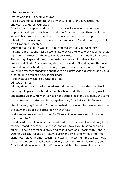into their mouths.'

'Which one shall I do, Mr Wonka?'

'You do Grandma Josephine, the tiny one. I'll do Grandpa George, the one-year-old. Here's your spoon.'

Charlie took the spoon and held it out. Mr Wonka opened the bottle and dripped four drops of oily black liquid into Charlie's spoon. Then he did the same to his own. He handed the bottle back to the Oompa-Loompa. 'Shouldn't someone hold the babies while you give it?' said Grandpa Joe. 'I'll hold Grandma Josephine.'

'Are you mad!' said Mr Wonka. 'Don't you realize that Vita-Wonk acts instantly? It's not one year a second like Wonka-Vite. Vita-Wonk is as quick as lightning! The moment the medicine is swallowed – ping! – and it all happens! The getting bigger and the growing older and everything else all happens in one second! So don't you see, my dear sir,' he said to Grandpa Joe, 'that one moment you'd be holding a tiny baby in your arms and just one second later you'd find yourself staggering about with an eighty-year-old woman and you'd drop her like a ton of bricks on the floor!'

'I see what you mean,' said Grandpa Joe.

'All set, Charlie?'

'All set, Mr Wonka.' Charlie moved around the bed to where the tiny sleeping baby lay. He placed one hand behind her head and lifted it. The baby awoke and started yelling. Mr Wonka was on the other side of the bed doing the same to the one-year-old George. 'Both together now, Charlie!' said Mr Wonka.

'Ready, steady, go! Pop it in!' Charlie pushed his spoon into the open mouth of the baby and tipped the drops down her throat.

'Make sure she swallows it!' cried Mr Wonka. 'It won't work until it gets into their tummies!'

It is difficult to explain what happened next, and whatever it was, it only lasted for one second. A second is about as long as it takes you to say aloud and quickly, 'one-two-three-four-five'. And that is how long it took, with Charlie watching closely, for the tiny baby to grow and swell and wrinkle into the eighty-year-old Grandma Josephine. It was a frightening thing to see. It was like an explosion. A small baby suddenly exploded into an old woman, and Charlie all at once found himself staring straight into the well-known and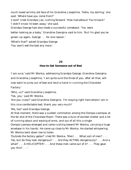much-loved wrinkly old face of his Grandma Josephine. 'Hello, my darling,' she said. 'Where have you come from?'

'Josie!' cried Grandpa Joe, rushing forward. 'How marvellous! You're back!' 'I didn't know I'd been away,' she said.

Grandpa George had also made a successful comeback. 'You were

better-looking as a baby,' Grandma Georgina said to him. 'But I'm glad you've

grown up again, George . . . for one reason.'

'What's that?' asked Grandpa George.

'You won't wet the bed any more.'

#### **20**

**How to Get Someone out of Bed**

'I am sure,' said Mr Wonka, addressing Grandpa George, Grandma Georgina and Grandma Josephine, 'I am quite sure the three of you, after all that, will now want to jump out of bed and lend a hand in running the Chocolate Factory.'

'Who, us?' said Grandma Josephine.

'Yes, you,' said Mr Wonka.

'Are you crazy?' said Grandma Georgina. 'I'm staying right here where I am in this nice comfortable bed, thank you very much!'

'Me, too!' said Grandpa George.

At that moment, there was a sudden commotion among the Oompa-Loompas at the far end of the Chocolate Room. There was a buzz of excited chatter and a lot of running about and waving of arms, and out of all this a single

Oompa-Loompa emerged and came rushing toward Mr Wonka, carrying a huge envelope in his hands. He came up close to Mr Wonka. He started whispering. Mr Wonka bent down low to listen.

'Outside the factory gates?' cried Mr Wonka. 'Men! . . . What sort of men? . . . Yes, but do they look dangerous? . . . Are they ACTING dangerously? . . . And a what? . . . A HELICOPTER! . . . And these men came out of it? . . . They gave you this? . . .'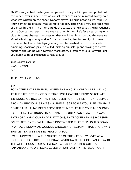Mr Wonka grabbed the huge envelope and quickly slit it open and pulled out the folded letter inside. There was absolute silence as he skimmed swiftly over what was written on the paper. Nobody moved. Charlie began to feel cold. He knew something dreadful was going to happen. There was a very definite smell of danger in the air. The men outside the gates, the helicopter, the nervousness of the Oompa-Loompas . . . He was watching Mr Wonka's face, searching for a clue, for some change in expression that would tell him how bad the news was. 'Great whistling whangdoodles!' cried Mr Wonka, leaping so high in the air that when he landed his legs gave way and he crashed on to his backside. 'Snorting snozzwangers!' he yelled, picking himself up and waving the letter about as though he were swatting mosquitoes. 'Listen to this, all of you! Just you listen to this!' He began to read aloud:

THE WHITE HOUSE WASHINGTON D.C.

TO MR WILLY WONKA.

SIR

TODAY THE ENTIRE NATION, INDEED THE WHOLE WORLD, IS REJOICING AT THE SAFE RETURN OF OUR TRANSPORT CAPSULE FROM SPACE WITH 136 SOULS ON BOARD. HAD IT NOT BEEN FOR THE HELP THEY RECEIVED FROM AN UNKNOWN SPACESHIP, THESE 136 PEOPLE WOULD NEVER HAVE COME BACK. IT HAS BEEN REPORTED TO ME THAT THE COURAGE SHOWN BY THE EIGHT ASTRONAUTS ABOARD THIS UNKNOWN SPACESHIP WAS EXTRAORDINARY. OUR RADAR STATIONS, BY TRACKING THIS SPACESHIP ON ITS RETURN TO EARTH, HAVE DISCOVERED THAT IT SPLASHED DOWN IN A PLACE KNOWN AS WONKA'S CHOCOLATE FACTORY. THAT, SIR, IS WHY THIS LETTER IS BEING DELIVERED TO YOU.

I WISH NOW TO SHOW THE GRATITUDE OF THE NATION BY INVITING ALL EIGHT OF THOSE INCREDIBLY BRAVE ASTRONAUTS TO COME AND STAY IN THE WHITE HOUSE FOR A FEW DAYS AS MY HONOURED GUESTS. I AM ARRANGING A SPECIAL CELEBRATION PARTY IN THE BLUE ROOM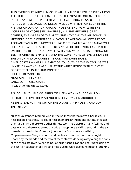THIS EVENING AT WHICH I MYSELF WILL PIN MEDALS FOR BRAVERY UPON ALL EIGHT OF THESE GALLANT FLIERS. THE MOST IMPORTANT PERSONS IN THE LAND WILL BE PRESENT AT THIS GATHERING TO SALUTE THE HEROES WHOSE DAZZLING DEEDS WILL BE WRITTEN FOR EVER IN THE HISTORY OF OUR NATION. AMONG THOSE ATTENDING WILL BE THE VICE-PRESIDENT (MISS ELVIRA TIBBS), ALL THE MEMBERS OF MY CABINET, THE CHIEFS OF THE ARMY, THE NAVY AND THE AIR FORCE, ALL MEMBERS OF THE CONGRESS. A FAMOUS SWORD-SWALLOWER FROM AFGHANISTAN WHO IS NOW TEACHING ME TO EAT MY WORDS (WHAT YOU DO IS YOU TAKE THE S OFF THE BEGINNING OF THE SWORD AND PUT IT ON THE END BEFORE YOU SWALLOW IT). AND WHO ELSE IS COMING? OH YES, MY CHIEF INTERPRETER, AND THE GOVERNORS OF EVERY STATE IN THE UNION, AND OF COURSE MY CAT, MRS TAUBSYPUSS. A HELICOPTER AWAITS ALL EIGHT OF YOU OUTSIDE THE FACTORY GATES. I MYSELF AWAIT YOUR ARRIVAL AT THE WHITE HOUSE WITH THE VERY GREATEST PLEASURE AND IMPATIENCE. I BEG TO REMAIN, SIR, MOST SINCERELY YOURS LANCELOT R. GILLIGRASS President of the United States

P.S. COULD YOU PLEASE BRING ME A FEW WONKA FUDGEMALLOW DELIGHTS. I LOVE THEM SO MUCH BUT EVERYBODY AROUND HERE KEEPS STEALING MINE OUT OF THE DRAWER IN MY DESK. AND DON'T TELL NANNY.

Mr Wonka stopped reading. And in the stillness that followed Charlie could hear people breathing. He could hear them breathing in and out much faster than usual. And there were other things, too. There were so many feelings and passions and there was so much sudden happiness swirling around in the air it made his head spin. Grandpa Joe was the first to say something . . . 'Yippeeeeeeeeeee!' he yelled out, and he flew across the room and caught Charlie by the hands and the two of them started dancing away along the bank of the chocolate river. 'We're going, Charlie!' sang Grandpa Joe. 'We're going to the White House after all!' Mr and Mrs Bucket were also dancing and laughing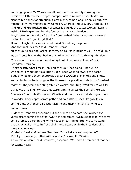and singing, and Mr Wonka ran all over the room proudly showing the President's letter to the Oompa-Loompas. After a minute or so, Mr Wonka clapped his hands for attention. 'Come along, come along!' he called out. 'We mustn't dilly! We mustn't dally! Come on, Charlie! And you, sir, Grandpa Joe! And Mr and Mrs Bucket! The helicopter is outside the gates! We can't keep it waiting!' He began hustling the four of them toward the door.

'Hey!' screamed Grandma Georgina from the bed. 'What about us? We were invited too, don't you forget that!'

'It said all eight of us were invited!' cried Grandma Josephine.

'And that includes me!' said Grandpa George.

Mr Wonka turned and looked at them. 'Of course it includes you,' he said. 'But we can't possibly get that bed into a helicopter. It won't go through the door.'

'You mean . . . you mean if we don't get out of bed we can't come?' said Grandma Georgina.

'That's exactly what I mean,' said Mr Wonka. 'Keep going, Charlie,' he whispered, giving Charlie a little nudge. 'Keep walking toward the door.' Suddenly, behind them, there was a great SWOOSH of blankets and sheets and a pinging of bedsprings as the three old people all exploded out of the bed together. They came sprinting after Mr Wonka, shouting, 'Wait for us! Wait for us!' It was amazing how fast they were running across the floor of the great Chocolate Room. Mr Wonka and Charlie and the others stood staring at them in wonder. They leaped across paths and over little bushes like gazelles in spring-time, with their bare legs flashing and their nightshirts flying out behind them.

Suddenly Grandma Josephine put the brakes on so hard she skidded five yards before coming to a stop. 'Wait!' she screamed. 'We must be mad! We can't go to a famous party in the White House in our nightshirts! We can't stand there practically naked in front of all those people while the President pins medals all over us!'

'Oh-h-h-h!' wailed Grandma Georgina. 'Oh, what are we going to do?' 'Don't you have any clothes with you at all?' asked Mr Wonka.

'Of course we don't!' said Grandma Josephine. 'We haven't been out of that bed for twenty years!'